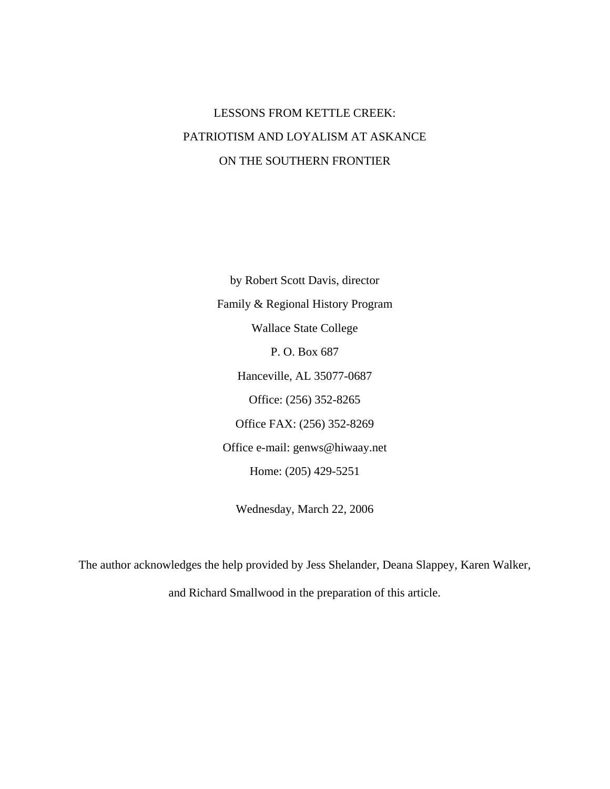# LESSONS FROM KETTLE CREEK: PATRIOTISM AND LOYALISM AT ASKANCE ON THE SOUTHERN FRONTIER

by Robert Scott Davis, director Family & Regional History Program Wallace State College P. O. Box 687 Hanceville, AL 35077-0687 Office: (256) 352-8265 Office FAX: (256) 352-8269 Office e-mail: genws@hiwaay.net Home: (205) 429-5251

Wednesday, March 22, 2006

The author acknowledges the help provided by Jess Shelander, Deana Slappey, Karen Walker, and Richard Smallwood in the preparation of this article.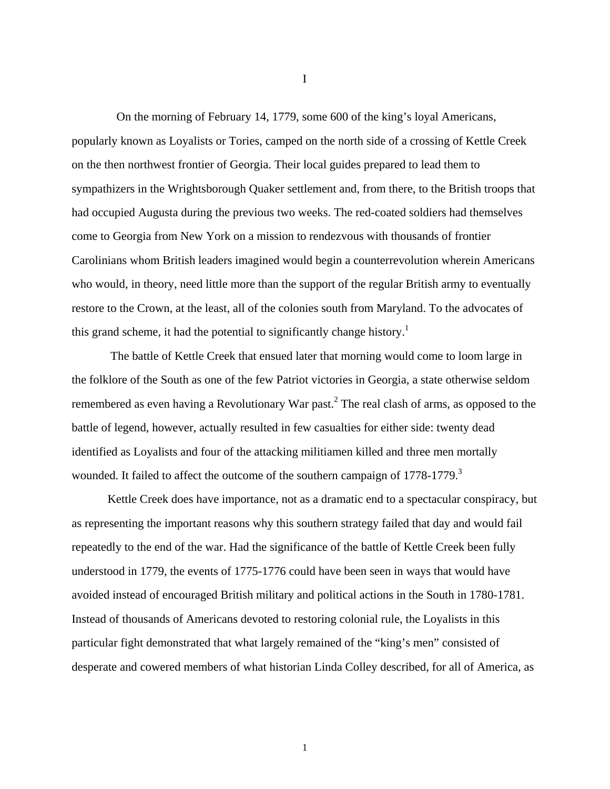On the morning of February 14, 1779, some 600 of the king's loyal Americans, popularly known as Loyalists or Tories, camped on the north side of a crossing of Kettle Creek on the then northwest frontier of Georgia. Their local guides prepared to lead them to sympathizers in the Wrightsborough Quaker settlement and, from there, to the British troops that had occupied Augusta during the previous two weeks. The red-coated soldiers had themselves come to Georgia from New York on a mission to rendezvous with thousands of frontier Carolinians whom British leaders imagined would begin a counterrevolution wherein Americans who would, in theory, need little more than the support of the regular British army to eventually restore to the Crown, at the least, all of the colonies south from Maryland. To the advocates of this grand scheme, it had the potential to significantly change history.<sup>[1](#page-65-0)</sup>

 The battle of Kettle Creek that ensued later that morning would come to loom large in the folklore of the South as one of the few Patriot victories in Georgia, a state otherwise seldom remembered as even having a Revolutionary War past.<sup>[2](#page-65-1)</sup> The real clash of arms, as opposed to the battle of legend, however, actually resulted in few casualties for either side: twenty dead identified as Loyalists and four of the attacking militiamen killed and three men mortally wounded. It failed to affect the outcome of the southern campaign of  $1778-1779$ .<sup>[3](#page-65-2)</sup>

Kettle Creek does have importance, not as a dramatic end to a spectacular conspiracy, but as representing the important reasons why this southern strategy failed that day and would fail repeatedly to the end of the war. Had the significance of the battle of Kettle Creek been fully understood in 1779, the events of 1775-1776 could have been seen in ways that would have avoided instead of encouraged British military and political actions in the South in 1780-1781. Instead of thousands of Americans devoted to restoring colonial rule, the Loyalists in this particular fight demonstrated that what largely remained of the "king's men" consisted of desperate and cowered members of what historian Linda Colley described, for all of America, as

1

I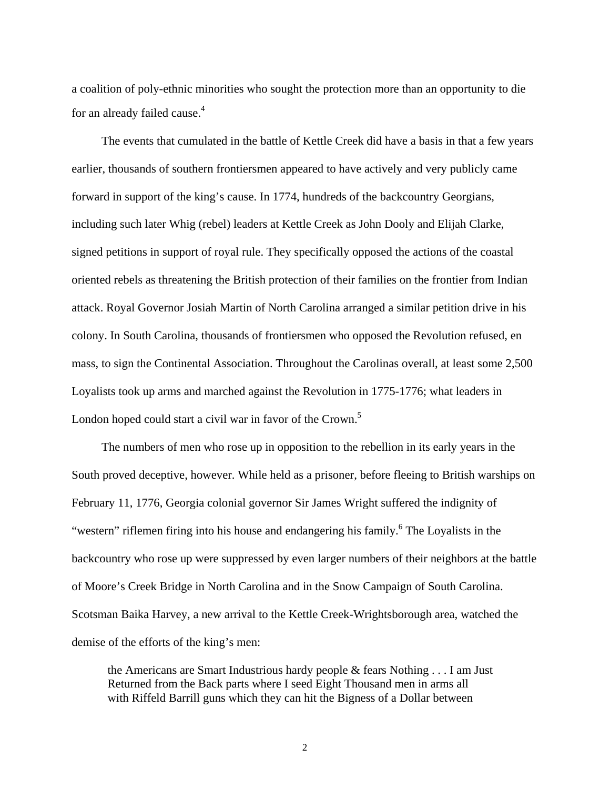a coalition of poly-ethnic minorities who sought the protection more than an opportunity to die for an already failed cause.<sup>[4](#page-65-3)</sup>

 The events that cumulated in the battle of Kettle Creek did have a basis in that a few years earlier, thousands of southern frontiersmen appeared to have actively and very publicly came forward in support of the king's cause. In 1774, hundreds of the backcountry Georgians, including such later Whig (rebel) leaders at Kettle Creek as John Dooly and Elijah Clarke, signed petitions in support of royal rule. They specifically opposed the actions of the coastal oriented rebels as threatening the British protection of their families on the frontier from Indian attack. Royal Governor Josiah Martin of North Carolina arranged a similar petition drive in his colony. In South Carolina, thousands of frontiersmen who opposed the Revolution refused, en mass, to sign the Continental Association. Throughout the Carolinas overall, at least some 2,500 Loyalists took up arms and marched against the Revolution in 1775-1776; what leaders in London hoped could start a civil war in favor of the Crown.<sup>[5](#page-65-0)</sup>

 The numbers of men who rose up in opposition to the rebellion in its early years in the South proved deceptive, however. While held as a prisoner, before fleeing to British warships on February 11, 1776, Georgia colonial governor Sir James Wright suffered the indignity of "western"riflemen firing into his house and endangering his family.<sup>6</sup> The Loyalists in the backcountry who rose up were suppressed by even larger numbers of their neighbors at the battle of Moore's Creek Bridge in North Carolina and in the Snow Campaign of South Carolina. Scotsman Baika Harvey, a new arrival to the Kettle Creek-Wrightsborough area, watched the demise of the efforts of the king's men:

the Americans are Smart Industrious hardy people & fears Nothing . . . I am Just Returned from the Back parts where I seed Eight Thousand men in arms all with Riffeld Barrill guns which they can hit the Bigness of a Dollar between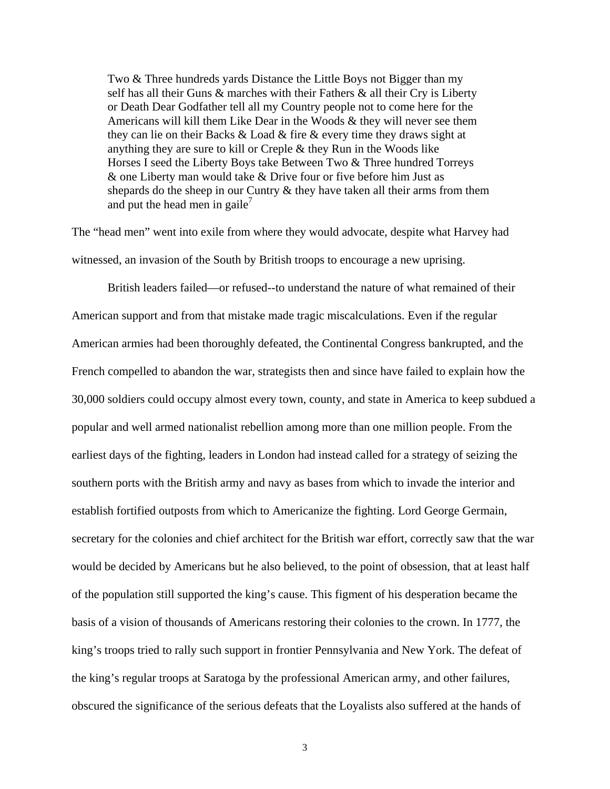Two & Three hundreds yards Distance the Little Boys not Bigger than my self has all their Guns & marches with their Fathers & all their Cry is Liberty or Death Dear Godfather tell all my Country people not to come here for the Americans will kill them Like Dear in the Woods & they will never see them they can lie on their Backs & Load & fire & every time they draws sight at anything they are sure to kill or Creple & they Run in the Woods like Horses I seed the Liberty Boys take Between Two & Three hundred Torreys & one Liberty man would take & Drive four or five before him Just as shepards do the sheep in our Cuntry & they have taken all their arms from them and put the head men in gaile<sup>[7](#page-65-5)</sup>

The "head men" went into exile from where they would advocate, despite what Harvey had witnessed, an invasion of the South by British troops to encourage a new uprising.

British leaders failed—or refused--to understand the nature of what remained of their American support and from that mistake made tragic miscalculations. Even if the regular American armies had been thoroughly defeated, the Continental Congress bankrupted, and the French compelled to abandon the war, strategists then and since have failed to explain how the 30,000 soldiers could occupy almost every town, county, and state in America to keep subdued a popular and well armed nationalist rebellion among more than one million people. From the earliest days of the fighting, leaders in London had instead called for a strategy of seizing the southern ports with the British army and navy as bases from which to invade the interior and establish fortified outposts from which to Americanize the fighting. Lord George Germain, secretary for the colonies and chief architect for the British war effort, correctly saw that the war would be decided by Americans but he also believed, to the point of obsession, that at least half of the population still supported the king's cause. This figment of his desperation became the basis of a vision of thousands of Americans restoring their colonies to the crown. In 1777, the king's troops tried to rally such support in frontier Pennsylvania and New York. The defeat of the king's regular troops at Saratoga by the professional American army, and other failures, obscured the significance of the serious defeats that the Loyalists also suffered at the hands of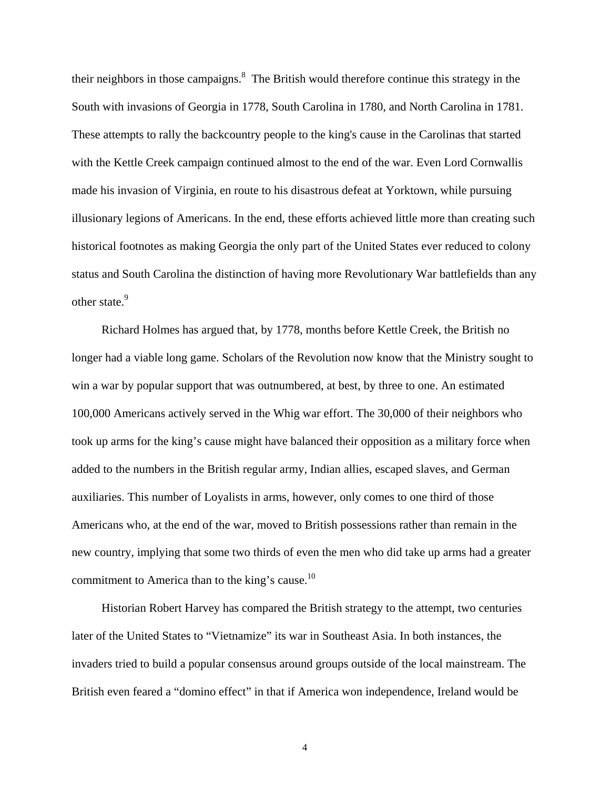their neighbors in those campaigns. $\delta$  The British would therefore continue this strategy in the South with invasions of Georgia in 1778, South Carolina in 1780, and North Carolina in 1781. These attempts to rally the backcountry people to the king's cause in the Carolinas that started with the Kettle Creek campaign continued almost to the end of the war. Even Lord Cornwallis made his invasion of Virginia, en route to his disastrous defeat at Yorktown, while pursuing illusionary legions of Americans. In the end, these efforts achieved little more than creating such historical footnotes as making Georgia the only part of the United States ever reduced to colony status and South Carolina the distinction of having more Revolutionary War battlefields than any other state.<sup>[9](#page-65-7)</sup>

 Richard Holmes has argued that, by 1778, months before Kettle Creek, the British no longer had a viable long game. Scholars of the Revolution now know that the Ministry sought to win a war by popular support that was outnumbered, at best, by three to one. An estimated 100,000 Americans actively served in the Whig war effort. The 30,000 of their neighbors who took up arms for the king's cause might have balanced their opposition as a military force when added to the numbers in the British regular army, Indian allies, escaped slaves, and German auxiliaries. This number of Loyalists in arms, however, only comes to one third of those Americans who, at the end of the war, moved to British possessions rather than remain in the new country, implying that some two thirds of even the men who did take up arms had a greater commitment to America than to the king's cause.<sup>[10](#page-65-8)</sup>

 Historian Robert Harvey has compared the British strategy to the attempt, two centuries later of the United States to "Vietnamize" its war in Southeast Asia. In both instances, the invaders tried to build a popular consensus around groups outside of the local mainstream. The British even feared a "domino effect" in that if America won independence, Ireland would be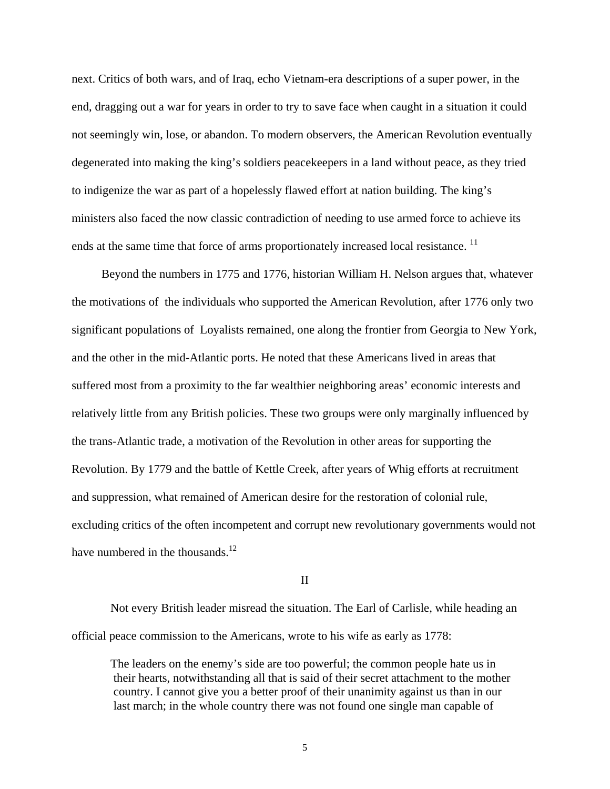next. Critics of both wars, and of Iraq, echo Vietnam-era descriptions of a super power, in the end, dragging out a war for years in order to try to save face when caught in a situation it could not seemingly win, lose, or abandon. To modern observers, the American Revolution eventually degenerated into making the king's soldiers peacekeepers in a land without peace, as they tried to indigenize the war as part of a hopelessly flawed effort at nation building. The king's ministers also faced the now classic contradiction of needing to use armed force to achieve its ends at the same time that force of arms proportionately increased local resistance.<sup>[11](#page-65-9)</sup>

 Beyond the numbers in 1775 and 1776, historian William H. Nelson argues that, whatever the motivations of the individuals who supported the American Revolution, after 1776 only two significant populations of Loyalists remained, one along the frontier from Georgia to New York, and the other in the mid-Atlantic ports. He noted that these Americans lived in areas that suffered most from a proximity to the far wealthier neighboring areas' economic interests and relatively little from any British policies. These two groups were only marginally influenced by the trans-Atlantic trade, a motivation of the Revolution in other areas for supporting the Revolution. By 1779 and the battle of Kettle Creek, after years of Whig efforts at recruitment and suppression, what remained of American desire for the restoration of colonial rule, excluding critics of the often incompetent and corrupt new revolutionary governments would not have numbered in the thousands.<sup>[12](#page-65-10)</sup>

#### II

 Not every British leader misread the situation. The Earl of Carlisle, while heading an official peace commission to the Americans, wrote to his wife as early as 1778:

 The leaders on the enemy's side are too powerful; the common people hate us in their hearts, notwithstanding all that is said of their secret attachment to the mother country. I cannot give you a better proof of their unanimity against us than in our last march; in the whole country there was not found one single man capable of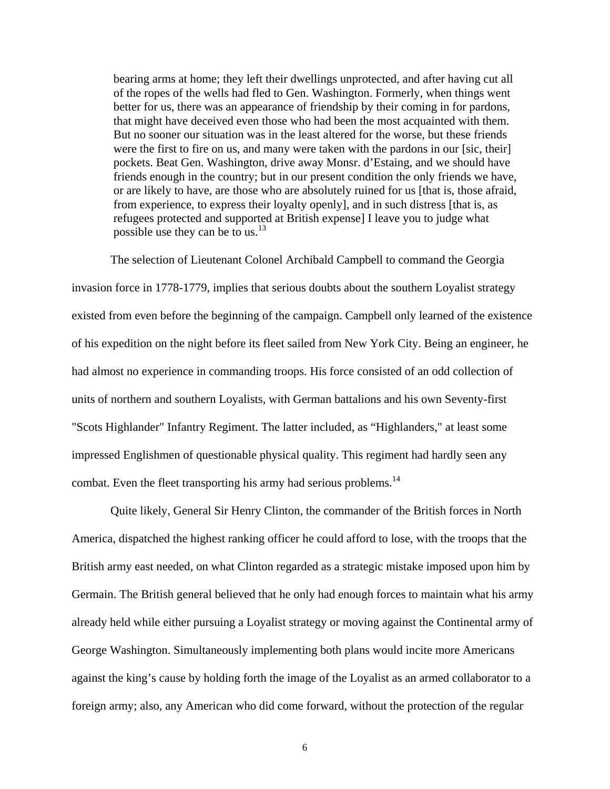bearing arms at home; they left their dwellings unprotected, and after having cut all of the ropes of the wells had fled to Gen. Washington. Formerly, when things went better for us, there was an appearance of friendship by their coming in for pardons, that might have deceived even those who had been the most acquainted with them. But no sooner our situation was in the least altered for the worse, but these friends were the first to fire on us, and many were taken with the pardons in our [sic, their] pockets. Beat Gen. Washington, drive away Monsr. d'Estaing, and we should have friends enough in the country; but in our present condition the only friends we have, or are likely to have, are those who are absolutely ruined for us [that is, those afraid, from experience, to express their loyalty openly], and in such distress [that is, as refugees protected and supported at British expense] I leave you to judge what possible use they can be to us.<sup>[13](#page-65-11)</sup>

 The selection of Lieutenant Colonel Archibald Campbell to command the Georgia invasion force in 1778-1779, implies that serious doubts about the southern Loyalist strategy existed from even before the beginning of the campaign. Campbell only learned of the existence of his expedition on the night before its fleet sailed from New York City. Being an engineer, he had almost no experience in commanding troops. His force consisted of an odd collection of units of northern and southern Loyalists, with German battalions and his own Seventy-first "Scots Highlander" Infantry Regiment. The latter included, as "Highlanders," at least some impressed Englishmen of questionable physical quality. This regiment had hardly seen any combat. Even the fleet transporting his army had serious problems.<sup>[14](#page-65-12)</sup>

 Quite likely, General Sir Henry Clinton, the commander of the British forces in North America, dispatched the highest ranking officer he could afford to lose, with the troops that the British army east needed, on what Clinton regarded as a strategic mistake imposed upon him by Germain. The British general believed that he only had enough forces to maintain what his army already held while either pursuing a Loyalist strategy or moving against the Continental army of George Washington. Simultaneously implementing both plans would incite more Americans against the king's cause by holding forth the image of the Loyalist as an armed collaborator to a foreign army; also, any American who did come forward, without the protection of the regular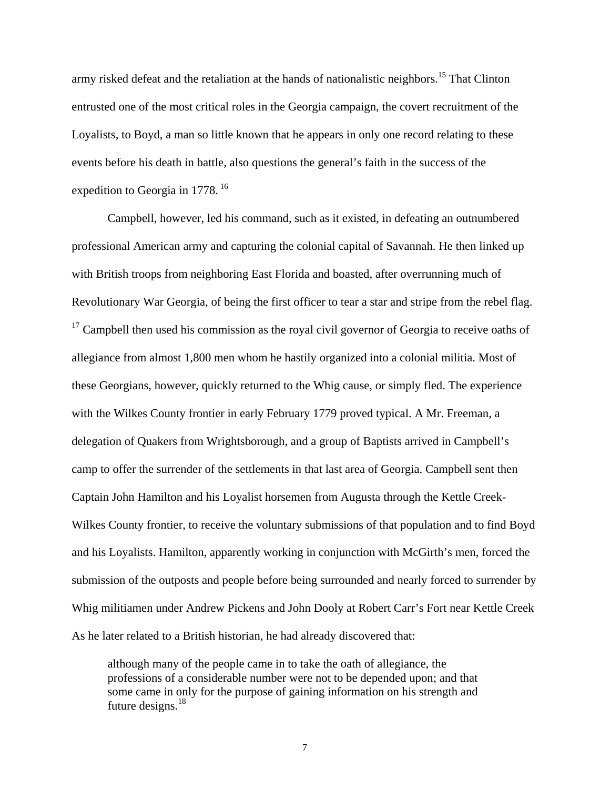army risked defeat and the retaliation at the hands of nationalistic neighbors.<sup>15</sup> That Clinton entrusted one of the most critical roles in the Georgia campaign, the covert recruitment of the Loyalists, to Boyd, a man so little known that he appears in only one record relating to these events before his death in battle, also questions the general's faith in the success of the expedition to Georgia in 1778.<sup>16</sup>

Campbell, however, led his command, such as it existed, in defeating an outnumbered professional American army and capturing the colonial capital of Savannah. He then linked up with British troops from neighboring East Florida and boasted, after overrunning much of Revolutionary War Georgia, of being the first officer to tear a star and stripe from the rebel flag.  $17$  Campbell then used his commission as the royal civil governor of Georgia to receive oaths of allegiance from almost 1,800 men whom he hastily organized into a colonial militia. Most of these Georgians, however, quickly returned to the Whig cause, or simply fled. The experience with the Wilkes County frontier in early February 1779 proved typical. A Mr. Freeman, a delegation of Quakers from Wrightsborough, and a group of Baptists arrived in Campbell's camp to offer the surrender of the settlements in that last area of Georgia. Campbell sent then Captain John Hamilton and his Loyalist horsemen from Augusta through the Kettle Creek-Wilkes County frontier, to receive the voluntary submissions of that population and to find Boyd and his Loyalists. Hamilton, apparently working in conjunction with McGirth's men, forced the submission of the outposts and people before being surrounded and nearly forced to surrender by Whig militiamen under Andrew Pickens and John Dooly at Robert Carr's Fort near Kettle Creek As he later related to a British historian, he had already discovered that:

although many of the people came in to take the oath of allegiance, the professions of a considerable number were not to be depended upon; and that some came in only for the purpose of gaining information on his strength and future designs.<sup>[18](#page-65-16)</sup>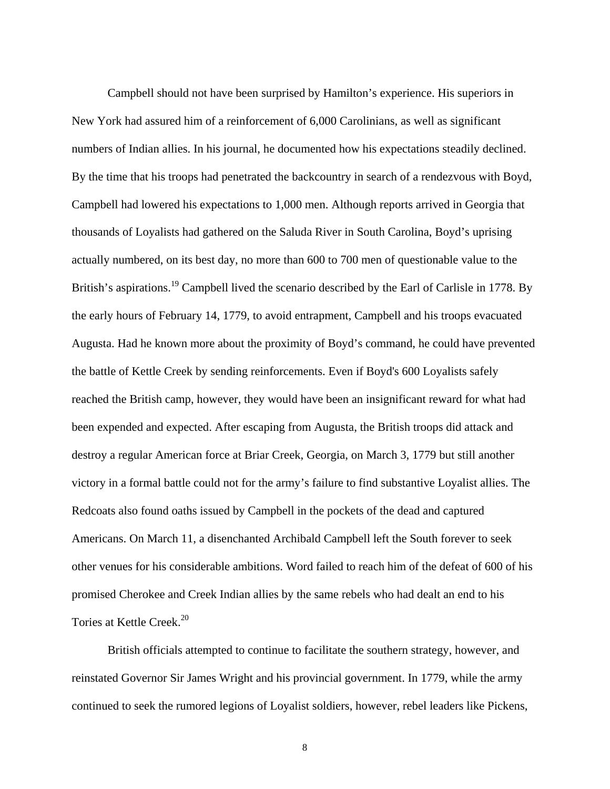Campbell should not have been surprised by Hamilton's experience. His superiors in New York had assured him of a reinforcement of 6,000 Carolinians, as well as significant numbers of Indian allies. In his journal, he documented how his expectations steadily declined. By the time that his troops had penetrated the backcountry in search of a rendezvous with Boyd, Campbell had lowered his expectations to 1,000 men. Although reports arrived in Georgia that thousands of Loyalists had gathered on the Saluda River in South Carolina, Boyd's uprising actually numbered, on its best day, no more than 600 to 700 men of questionable value to the British's aspirations.<sup>19</sup> Campbell lived the scenario described by the Earl of Carlisle in 1778. By the early hours of February 14, 1779, to avoid entrapment, Campbell and his troops evacuated Augusta. Had he known more about the proximity of Boyd's command, he could have prevented the battle of Kettle Creek by sending reinforcements. Even if Boyd's 600 Loyalists safely reached the British camp, however, they would have been an insignificant reward for what had been expended and expected. After escaping from Augusta, the British troops did attack and destroy a regular American force at Briar Creek, Georgia, on March 3, 1779 but still another victory in a formal battle could not for the army's failure to find substantive Loyalist allies. The Redcoats also found oaths issued by Campbell in the pockets of the dead and captured Americans. On March 11, a disenchanted Archibald Campbell left the South forever to seek other venues for his considerable ambitions. Word failed to reach him of the defeat of 600 of his promised Cherokee and Creek Indian allies by the same rebels who had dealt an end to his Tories at Kettle Creek.<sup>[20](#page-65-18)</sup>

British officials attempted to continue to facilitate the southern strategy, however, and reinstated Governor Sir James Wright and his provincial government. In 1779, while the army continued to seek the rumored legions of Loyalist soldiers, however, rebel leaders like Pickens,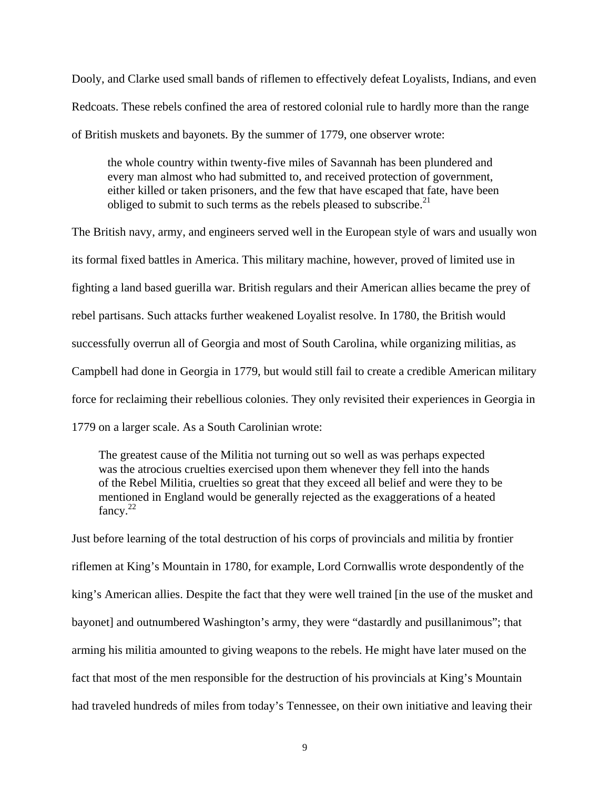Dooly, and Clarke used small bands of riflemen to effectively defeat Loyalists, Indians, and even Redcoats. These rebels confined the area of restored colonial rule to hardly more than the range of British muskets and bayonets. By the summer of 1779, one observer wrote:

the whole country within twenty-five miles of Savannah has been plundered and every man almost who had submitted to, and received protection of government, either killed or taken prisoners, and the few that have escaped that fate, have been obliged to submit to such terms as the rebels pleased to subscribe. $2<sup>1</sup>$ 

The British navy, army, and engineers served well in the European style of wars and usually won its formal fixed battles in America. This military machine, however, proved of limited use in fighting a land based guerilla war. British regulars and their American allies became the prey of rebel partisans. Such attacks further weakened Loyalist resolve. In 1780, the British would successfully overrun all of Georgia and most of South Carolina, while organizing militias, as Campbell had done in Georgia in 1779, but would still fail to create a credible American military force for reclaiming their rebellious colonies. They only revisited their experiences in Georgia in 1779 on a larger scale. As a South Carolinian wrote:

 The greatest cause of the Militia not turning out so well as was perhaps expected was the atrocious cruelties exercised upon them whenever they fell into the hands of the Rebel Militia, cruelties so great that they exceed all belief and were they to be mentioned in England would be generally rejected as the exaggerations of a heated  $fancy.<sup>22</sup>$  $fancy.<sup>22</sup>$  $fancy.<sup>22</sup>$ 

Just before learning of the total destruction of his corps of provincials and militia by frontier riflemen at King's Mountain in 1780, for example, Lord Cornwallis wrote despondently of the king's American allies. Despite the fact that they were well trained [in the use of the musket and bayonet] and outnumbered Washington's army, they were "dastardly and pusillanimous"; that arming his militia amounted to giving weapons to the rebels. He might have later mused on the fact that most of the men responsible for the destruction of his provincials at King's Mountain had traveled hundreds of miles from today's Tennessee, on their own initiative and leaving their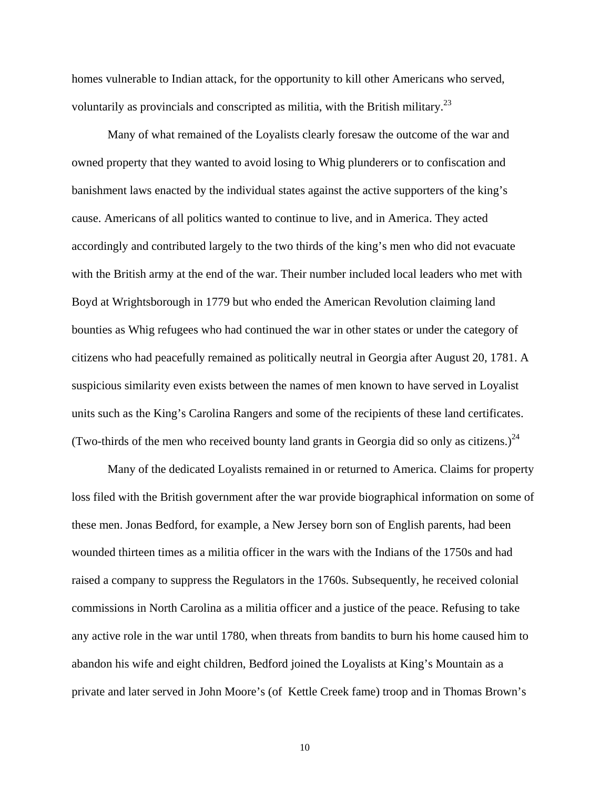homes vulnerable to Indian attack, for the opportunity to kill other Americans who served, voluntarily as provincials and conscripted as militia, with the British military.<sup>[23](#page-65-17)</sup>

 Many of what remained of the Loyalists clearly foresaw the outcome of the war and owned property that they wanted to avoid losing to Whig plunderers or to confiscation and banishment laws enacted by the individual states against the active supporters of the king's cause. Americans of all politics wanted to continue to live, and in America. They acted accordingly and contributed largely to the two thirds of the king's men who did not evacuate with the British army at the end of the war. Their number included local leaders who met with Boyd at Wrightsborough in 1779 but who ended the American Revolution claiming land bounties as Whig refugees who had continued the war in other states or under the category of citizens who had peacefully remained as politically neutral in Georgia after August 20, 1781. A suspicious similarity even exists between the names of men known to have served in Loyalist units such as the King's Carolina Rangers and some of the recipients of these land certificates. (Two-thirds of the men who received bounty land grants in Georgia did so only as citizens.)<sup>[24](#page-65-13)</sup>

Many of the dedicated Loyalists remained in or returned to America. Claims for property loss filed with the British government after the war provide biographical information on some of these men. Jonas Bedford, for example, a New Jersey born son of English parents, had been wounded thirteen times as a militia officer in the wars with the Indians of the 1750s and had raised a company to suppress the Regulators in the 1760s. Subsequently, he received colonial commissions in North Carolina as a militia officer and a justice of the peace. Refusing to take any active role in the war until 1780, when threats from bandits to burn his home caused him to abandon his wife and eight children, Bedford joined the Loyalists at King's Mountain as a private and later served in John Moore's (of Kettle Creek fame) troop and in Thomas Brown's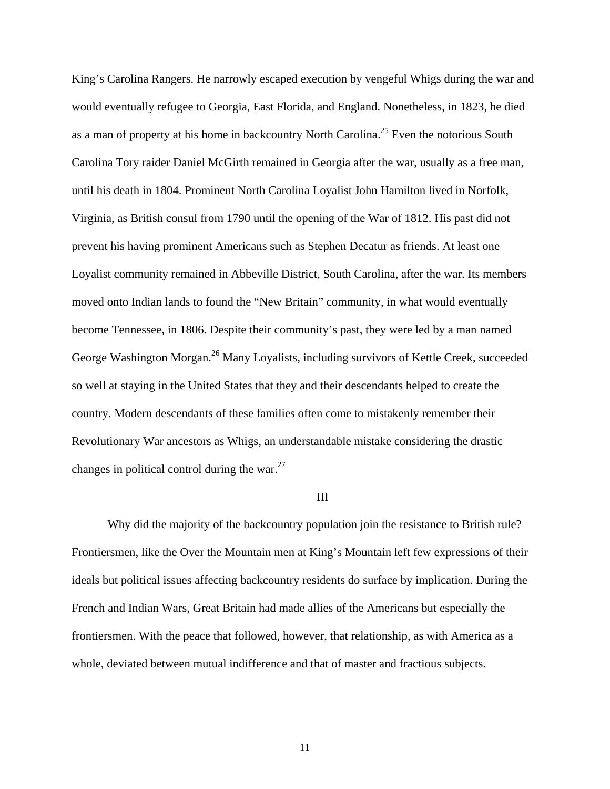King's Carolina Rangers. He narrowly escaped execution by vengeful Whigs during the war and would eventually refugee to Georgia, East Florida, and England. Nonetheless, in 1823, he died as a man of property at his home in backcountry North Carolina.<sup>25</sup> Even the notorious South Carolina Tory raider Daniel McGirth remained in Georgia after the war, usually as a free man, until his death in 1804. Prominent North Carolina Loyalist John Hamilton lived in Norfolk, Virginia, as British consul from 1790 until the opening of the War of 1812. His past did not prevent his having prominent Americans such as Stephen Decatur as friends. At least one Loyalist community remained in Abbeville District, South Carolina, after the war. Its members moved onto Indian lands to found the "New Britain" community, in what would eventually become Tennessee, in 1806. Despite their community's past, they were led by a man named George Washington Morgan.<sup>26</sup> Many Loyalists, including survivors of Kettle Creek, succeeded so well at staying in the United States that they and their descendants helped to create the country. Modern descendants of these families often come to mistakenly remember their Revolutionary War ancestors as Whigs, an understandable mistake considering the drastic changes in political control during the war. $27$ 

## III

Why did the majority of the backcountry population join the resistance to British rule? Frontiersmen, like the Over the Mountain men at King's Mountain left few expressions of their ideals but political issues affecting backcountry residents do surface by implication. During the French and Indian Wars, Great Britain had made allies of the Americans but especially the frontiersmen. With the peace that followed, however, that relationship, as with America as a whole, deviated between mutual indifference and that of master and fractious subjects.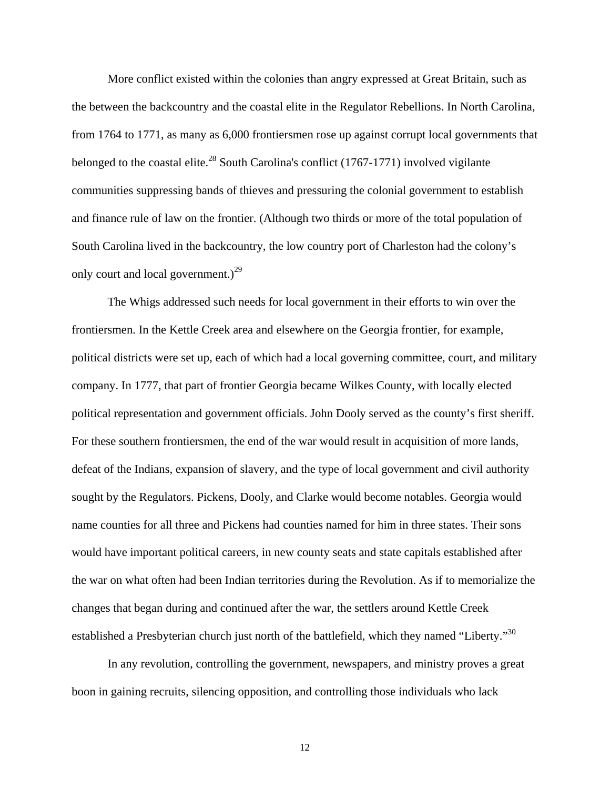More conflict existed within the colonies than angry expressed at Great Britain, such as the between the backcountry and the coastal elite in the Regulator Rebellions. In North Carolina, from 1764 to 1771, as many as 6,000 frontiersmen rose up against corrupt local governments that belonged to the coastal elite.<sup>28</sup> South Carolina's conflict (1767-1771) involved vigilante communities suppressing bands of thieves and pressuring the colonial government to establish and finance rule of law on the frontier. (Although two thirds or more of the total population of South Carolina lived in the backcountry, the low country port of Charleston had the colony's only court and local government.)<sup>[29](#page-65-25)</sup>

The Whigs addressed such needs for local government in their efforts to win over the frontiersmen. In the Kettle Creek area and elsewhere on the Georgia frontier, for example, political districts were set up, each of which had a local governing committee, court, and military company. In 1777, that part of frontier Georgia became Wilkes County, with locally elected political representation and government officials. John Dooly served as the county's first sheriff. For these southern frontiersmen, the end of the war would result in acquisition of more lands, defeat of the Indians, expansion of slavery, and the type of local government and civil authority sought by the Regulators. Pickens, Dooly, and Clarke would become notables. Georgia would name counties for all three and Pickens had counties named for him in three states. Their sons would have important political careers, in new county seats and state capitals established after the war on what often had been Indian territories during the Revolution. As if to memorialize the changes that began during and continued after the war, the settlers around Kettle Creek established a Presbyterian church just north of the battlefield, which they named "Liberty."<sup>[30](#page-65-20)</sup>

In any revolution, controlling the government, newspapers, and ministry proves a great boon in gaining recruits, silencing opposition, and controlling those individuals who lack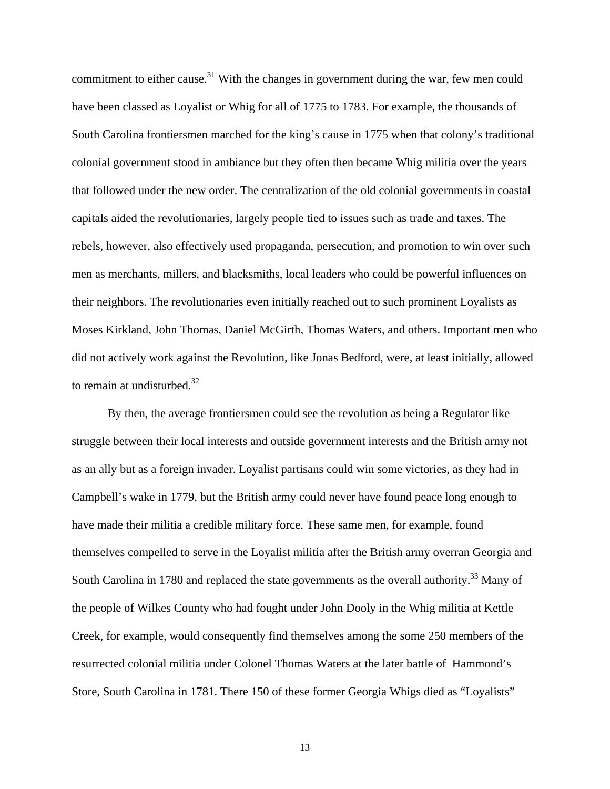commitment to either cause.<sup>31</sup> With the changes in government during the war, few men could have been classed as Loyalist or Whig for all of 1775 to 1783. For example, the thousands of South Carolina frontiersmen marched for the king's cause in 1775 when that colony's traditional colonial government stood in ambiance but they often then became Whig militia over the years that followed under the new order. The centralization of the old colonial governments in coastal capitals aided the revolutionaries, largely people tied to issues such as trade and taxes. The rebels, however, also effectively used propaganda, persecution, and promotion to win over such men as merchants, millers, and blacksmiths, local leaders who could be powerful influences on their neighbors. The revolutionaries even initially reached out to such prominent Loyalists as Moses Kirkland, John Thomas, Daniel McGirth, Thomas Waters, and others. Important men who did not actively work against the Revolution, like Jonas Bedford, were, at least initially, allowed to remain at undisturbed. $32$ 

By then, the average frontiersmen could see the revolution as being a Regulator like struggle between their local interests and outside government interests and the British army not as an ally but as a foreign invader. Loyalist partisans could win some victories, as they had in Campbell's wake in 1779, but the British army could never have found peace long enough to have made their militia a credible military force. These same men, for example, found themselves compelled to serve in the Loyalist militia after the British army overran Georgia and South Carolina in 1780 and replaced the state governments as the overall authority.<sup>33</sup> Many of the people of Wilkes County who had fought under John Dooly in the Whig militia at Kettle Creek, for example, would consequently find themselves among the some 250 members of the resurrected colonial militia under Colonel Thomas Waters at the later battle of Hammond's Store, South Carolina in 1781. There 150 of these former Georgia Whigs died as "Loyalists"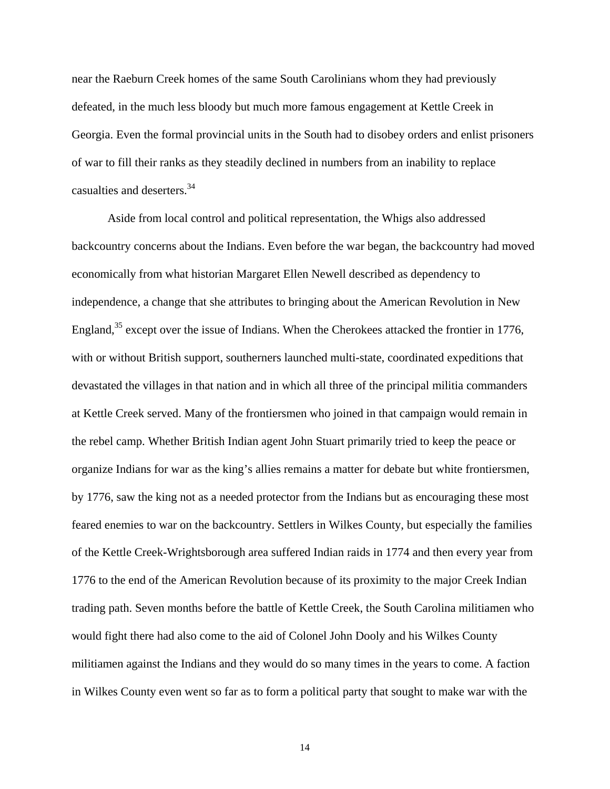near the Raeburn Creek homes of the same South Carolinians whom they had previously defeated, in the much less bloody but much more famous engagement at Kettle Creek in Georgia. Even the formal provincial units in the South had to disobey orders and enlist prisoners of war to fill their ranks as they steadily declined in numbers from an inability to replace casualties and deserters.[34](#page-65-20)

Aside from local control and political representation, the Whigs also addressed backcountry concerns about the Indians. Even before the war began, the backcountry had moved economically from what historian Margaret Ellen Newell described as dependency to independence, a change that she attributes to bringing about the American Revolution in New England, $35$  except over the issue of Indians. When the Cherokees attacked the frontier in 1776, with or without British support, southerners launched multi-state, coordinated expeditions that devastated the villages in that nation and in which all three of the principal militia commanders at Kettle Creek served. Many of the frontiersmen who joined in that campaign would remain in the rebel camp. Whether British Indian agent John Stuart primarily tried to keep the peace or organize Indians for war as the king's allies remains a matter for debate but white frontiersmen, by 1776, saw the king not as a needed protector from the Indians but as encouraging these most feared enemies to war on the backcountry. Settlers in Wilkes County, but especially the families of the Kettle Creek-Wrightsborough area suffered Indian raids in 1774 and then every year from 1776 to the end of the American Revolution because of its proximity to the major Creek Indian trading path. Seven months before the battle of Kettle Creek, the South Carolina militiamen who would fight there had also come to the aid of Colonel John Dooly and his Wilkes County militiamen against the Indians and they would do so many times in the years to come. A faction in Wilkes County even went so far as to form a political party that sought to make war with the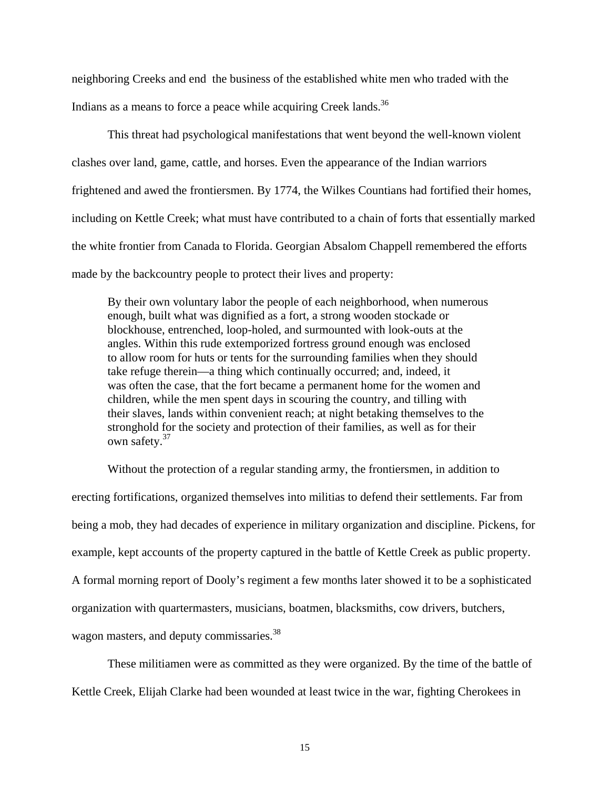neighboring Creeks and end the business of the established white men who traded with the Indians as a means to force a peace while acquiring Creek lands.<sup>[36](#page-65-30)</sup>

This threat had psychological manifestations that went beyond the well-known violent clashes over land, game, cattle, and horses. Even the appearance of the Indian warriors frightened and awed the frontiersmen. By 1774, the Wilkes Countians had fortified their homes, including on Kettle Creek; what must have contributed to a chain of forts that essentially marked the white frontier from Canada to Florida. Georgian Absalom Chappell remembered the efforts made by the backcountry people to protect their lives and property:

By their own voluntary labor the people of each neighborhood, when numerous enough, built what was dignified as a fort, a strong wooden stockade or blockhouse, entrenched, loop-holed, and surmounted with look-outs at the angles. Within this rude extemporized fortress ground enough was enclosed to allow room for huts or tents for the surrounding families when they should take refuge therein—a thing which continually occurred; and, indeed, it was often the case, that the fort became a permanent home for the women and children, while the men spent days in scouring the country, and tilling with their slaves, lands within convenient reach; at night betaking themselves to the stronghold for the society and protection of their families, as well as for their own safety.<sup>[37](#page-65-31)</sup>

Without the protection of a regular standing army, the frontiersmen, in addition to erecting fortifications, organized themselves into militias to defend their settlements. Far from being a mob, they had decades of experience in military organization and discipline. Pickens, for example, kept accounts of the property captured in the battle of Kettle Creek as public property. A formal morning report of Dooly's regiment a few months later showed it to be a sophisticated organization with quartermasters, musicians, boatmen, blacksmiths, cow drivers, butchers, wagon masters, and deputy commissaries.<sup>[38](#page-65-32)</sup>

These militiamen were as committed as they were organized. By the time of the battle of Kettle Creek, Elijah Clarke had been wounded at least twice in the war, fighting Cherokees in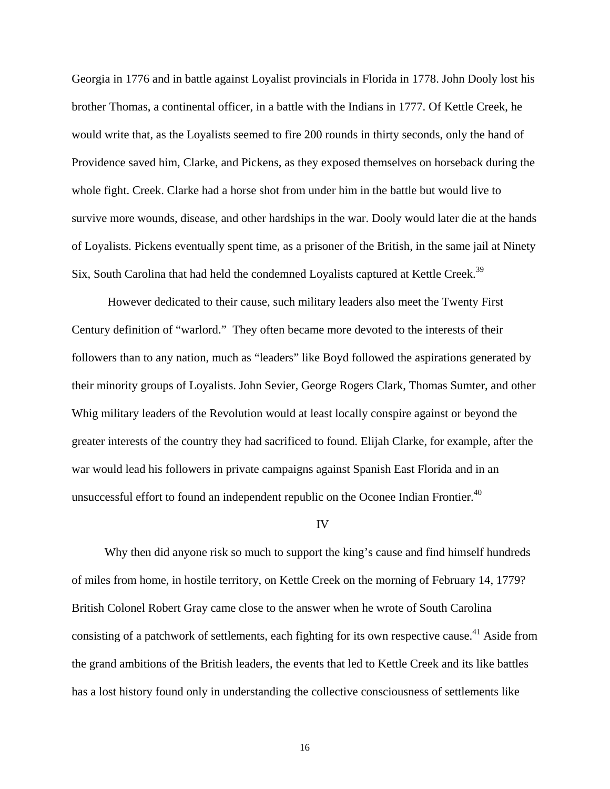Georgia in 1776 and in battle against Loyalist provincials in Florida in 1778. John Dooly lost his brother Thomas, a continental officer, in a battle with the Indians in 1777. Of Kettle Creek, he would write that, as the Loyalists seemed to fire 200 rounds in thirty seconds, only the hand of Providence saved him, Clarke, and Pickens, as they exposed themselves on horseback during the whole fight. Creek. Clarke had a horse shot from under him in the battle but would live to survive more wounds, disease, and other hardships in the war. Dooly would later die at the hands of Loyalists. Pickens eventually spent time, as a prisoner of the British, in the same jail at Ninety Six, South Carolina that had held the condemned Loyalists captured at Kettle Creek.<sup>[39](#page-65-33)</sup>

However dedicated to their cause, such military leaders also meet the Twenty First Century definition of "warlord." They often became more devoted to the interests of their followers than to any nation, much as "leaders" like Boyd followed the aspirations generated by their minority groups of Loyalists. John Sevier, George Rogers Clark, Thomas Sumter, and other Whig military leaders of the Revolution would at least locally conspire against or beyond the greater interests of the country they had sacrificed to found. Elijah Clarke, for example, after the war would lead his followers in private campaigns against Spanish East Florida and in an unsuccessful effort to found an independent republic on the Oconee Indian Frontier.<sup>40</sup>

#### IV

 Why then did anyone risk so much to support the king's cause and find himself hundreds of miles from home, in hostile territory, on Kettle Creek on the morning of February 14, 1779? British Colonel Robert Gray came close to the answer when he wrote of South Carolina consisting of a patchwork of settlements, each fighting for its own respective cause.<sup>41</sup> Aside from the grand ambitions of the British leaders, the events that led to Kettle Creek and its like battles has a lost history found only in understanding the collective consciousness of settlements like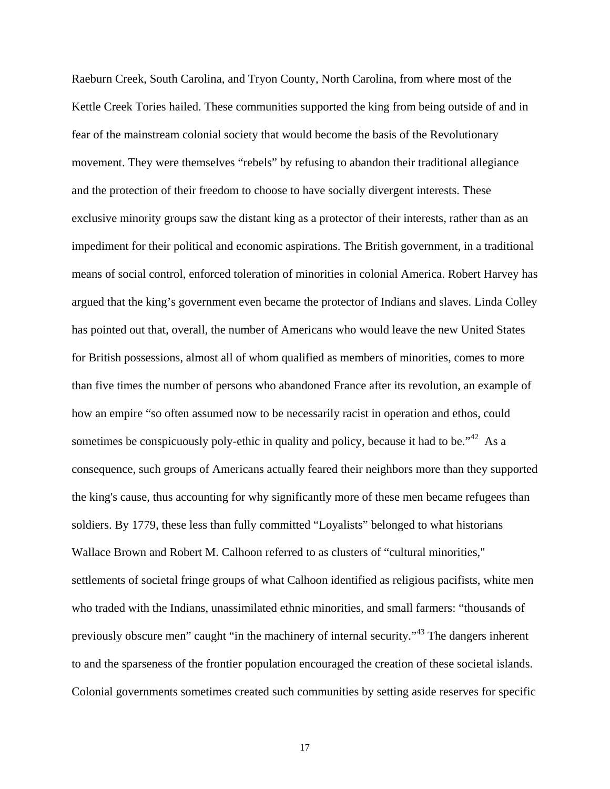Raeburn Creek, South Carolina, and Tryon County, North Carolina, from where most of the Kettle Creek Tories hailed. These communities supported the king from being outside of and in fear of the mainstream colonial society that would become the basis of the Revolutionary movement. They were themselves "rebels" by refusing to abandon their traditional allegiance and the protection of their freedom to choose to have socially divergent interests. These exclusive minority groups saw the distant king as a protector of their interests, rather than as an impediment for their political and economic aspirations. The British government, in a traditional means of social control, enforced toleration of minorities in colonial America. Robert Harvey has argued that the king's government even became the protector of Indians and slaves. Linda Colley has pointed out that, overall, the number of Americans who would leave the new United States for British possessions, almost all of whom qualified as members of minorities, comes to more than five times the number of persons who abandoned France after its revolution, an example of how an empire "so often assumed now to be necessarily racist in operation and ethos, could sometimes be conspicuously poly-ethic in quality and policy, because it had to be.<sup> $1/2$ </sup> As a consequence, such groups of Americans actually feared their neighbors more than they supported the king's cause, thus accounting for why significantly more of these men became refugees than soldiers. By 1779, these less than fully committed "Loyalists" belonged to what historians Wallace Brown and Robert M. Calhoon referred to as clusters of "cultural minorities," settlements of societal fringe groups of what Calhoon identified as religious pacifists, white men who traded with the Indians, unassimilated ethnic minorities, and small farmers: "thousands of previously obscure men" caught "in the machinery of internal security."[43 T](#page-65-35)he dangers inherent to and the sparseness of the frontier population encouraged the creation of these societal islands. Colonial governments sometimes created such communities by setting aside reserves for specific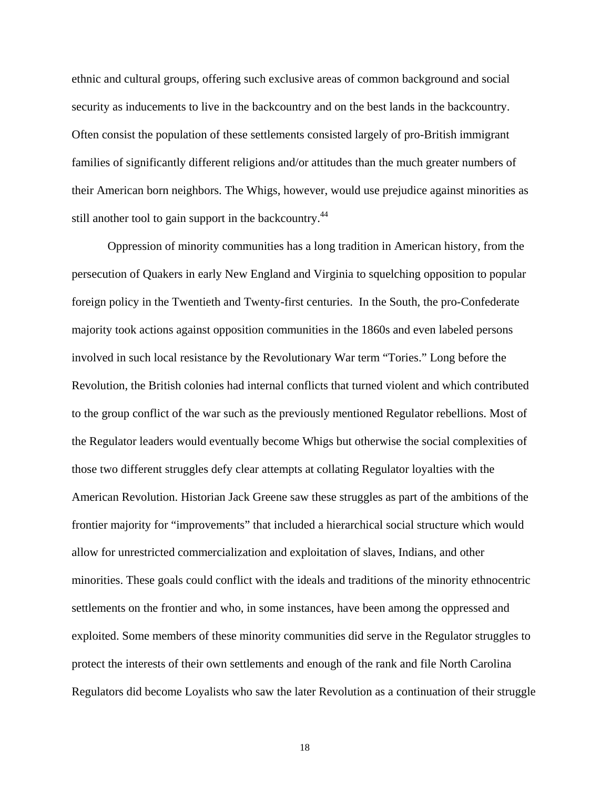ethnic and cultural groups, offering such exclusive areas of common background and social security as inducements to live in the backcountry and on the best lands in the backcountry. Often consist the population of these settlements consisted largely of pro-British immigrant families of significantly different religions and/or attitudes than the much greater numbers of their American born neighbors. The Whigs, however, would use prejudice against minorities as still another tool to gain support in the backcountry.<sup>[44](#page-65-36)</sup>

Oppression of minority communities has a long tradition in American history, from the persecution of Quakers in early New England and Virginia to squelching opposition to popular foreign policy in the Twentieth and Twenty-first centuries. In the South, the pro-Confederate majority took actions against opposition communities in the 1860s and even labeled persons involved in such local resistance by the Revolutionary War term "Tories." Long before the Revolution, the British colonies had internal conflicts that turned violent and which contributed to the group conflict of the war such as the previously mentioned Regulator rebellions. Most of the Regulator leaders would eventually become Whigs but otherwise the social complexities of those two different struggles defy clear attempts at collating Regulator loyalties with the American Revolution. Historian Jack Greene saw these struggles as part of the ambitions of the frontier majority for "improvements" that included a hierarchical social structure which would allow for unrestricted commercialization and exploitation of slaves, Indians, and other minorities. These goals could conflict with the ideals and traditions of the minority ethnocentric settlements on the frontier and who, in some instances, have been among the oppressed and exploited. Some members of these minority communities did serve in the Regulator struggles to protect the interests of their own settlements and enough of the rank and file North Carolina Regulators did become Loyalists who saw the later Revolution as a continuation of their struggle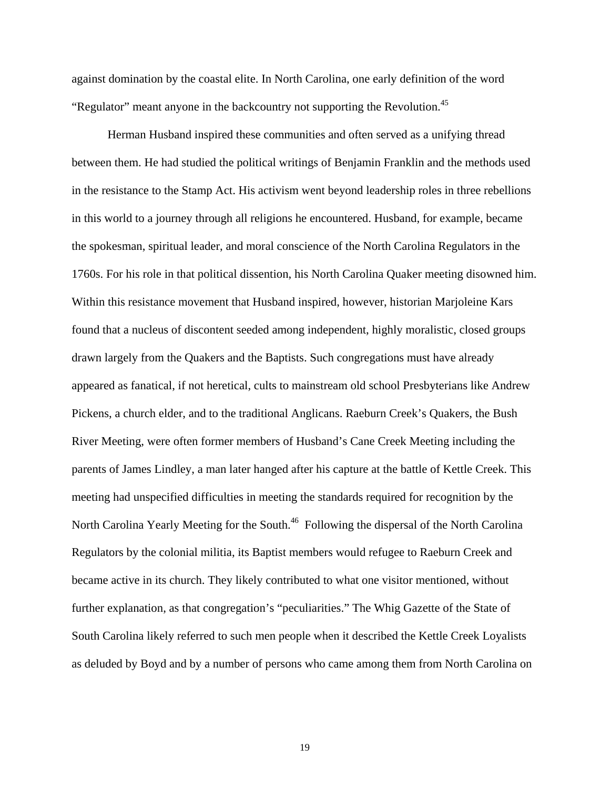against domination by the coastal elite. In North Carolina, one early definition of the word "Regulator" meant anyone in the backcountry not supporting the Revolution.<sup>[45](#page-65-37)</sup>

Herman Husband inspired these communities and often served as a unifying thread between them. He had studied the political writings of Benjamin Franklin and the methods used in the resistance to the Stamp Act. His activism went beyond leadership roles in three rebellions in this world to a journey through all religions he encountered. Husband, for example, became the spokesman, spiritual leader, and moral conscience of the North Carolina Regulators in the 1760s. For his role in that political dissention, his North Carolina Quaker meeting disowned him. Within this resistance movement that Husband inspired, however, historian Marjoleine Kars found that a nucleus of discontent seeded among independent, highly moralistic, closed groups drawn largely from the Quakers and the Baptists. Such congregations must have already appeared as fanatical, if not heretical, cults to mainstream old school Presbyterians like Andrew Pickens, a church elder, and to the traditional Anglicans. Raeburn Creek's Quakers, the Bush River Meeting, were often former members of Husband's Cane Creek Meeting including the parents of James Lindley, a man later hanged after his capture at the battle of Kettle Creek. This meeting had unspecified difficulties in meeting the standards required for recognition by the North Carolina Yearly Meeting for the South.<sup>46</sup> Following the dispersal of the North Carolina Regulators by the colonial militia, its Baptist members would refugee to Raeburn Creek and became active in its church. They likely contributed to what one visitor mentioned, without further explanation, as that congregation's "peculiarities." The Whig Gazette of the State of South Carolina likely referred to such men people when it described the Kettle Creek Loyalists as deluded by Boyd and by a number of persons who came among them from North Carolina on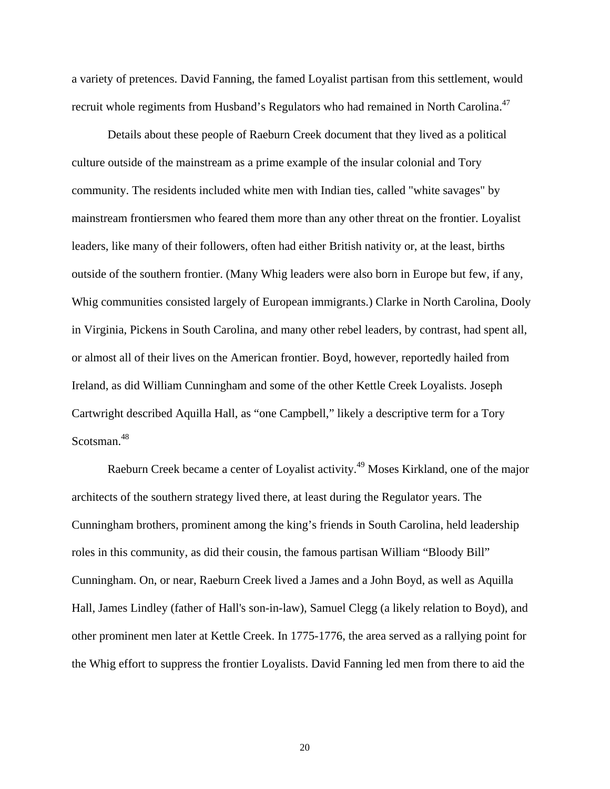a variety of pretences. David Fanning, the famed Loyalist partisan from this settlement, would recruit whole regiments from Husband's Regulators who had remained in North Carolina.<sup>47</sup>

 Details about these people of Raeburn Creek document that they lived as a political culture outside of the mainstream as a prime example of the insular colonial and Tory community. The residents included white men with Indian ties, called "white savages" by mainstream frontiersmen who feared them more than any other threat on the frontier. Loyalist leaders, like many of their followers, often had either British nativity or, at the least, births outside of the southern frontier. (Many Whig leaders were also born in Europe but few, if any, Whig communities consisted largely of European immigrants.) Clarke in North Carolina, Dooly in Virginia, Pickens in South Carolina, and many other rebel leaders, by contrast, had spent all, or almost all of their lives on the American frontier. Boyd, however, reportedly hailed from Ireland, as did William Cunningham and some of the other Kettle Creek Loyalists. Joseph Cartwright described Aquilla Hall, as "one Campbell," likely a descriptive term for a Tory Scotsman.<sup>[48](#page-65-39)</sup>

Raeburn Creek became a center of Loyalist activity.<sup>49</sup> Moses Kirkland, one of the major architects of the southern strategy lived there, at least during the Regulator years. The Cunningham brothers, prominent among the king's friends in South Carolina, held leadership roles in this community, as did their cousin, the famous partisan William "Bloody Bill" Cunningham. On, or near, Raeburn Creek lived a James and a John Boyd, as well as Aquilla Hall, James Lindley (father of Hall's son-in-law), Samuel Clegg (a likely relation to Boyd), and other prominent men later at Kettle Creek. In 1775-1776, the area served as a rallying point for the Whig effort to suppress the frontier Loyalists. David Fanning led men from there to aid the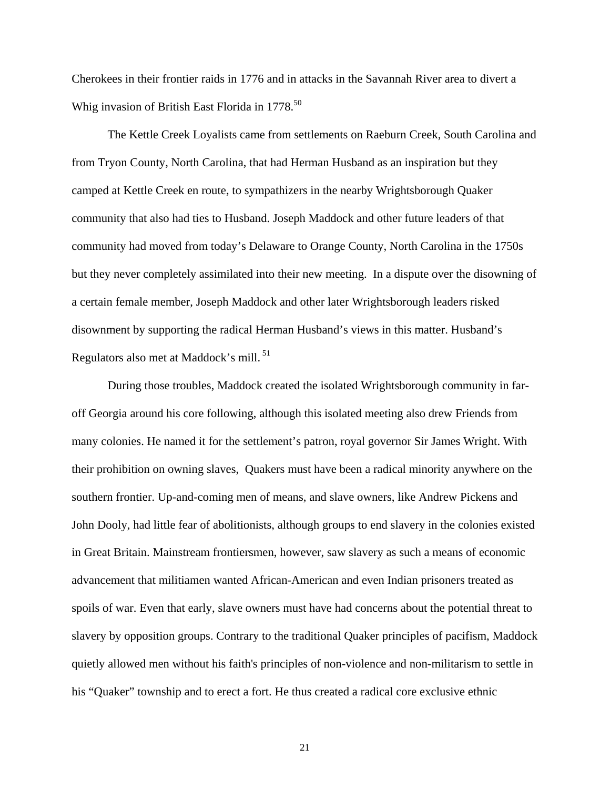Cherokees in their frontier raids in 1776 and in attacks in the Savannah River area to divert a Whig invasion of British East Florida in  $1778$ <sup>[50](#page-65-41)</sup>

The Kettle Creek Loyalists came from settlements on Raeburn Creek, South Carolina and from Tryon County, North Carolina, that had Herman Husband as an inspiration but they camped at Kettle Creek en route, to sympathizers in the nearby Wrightsborough Quaker community that also had ties to Husband. Joseph Maddock and other future leaders of that community had moved from today's Delaware to Orange County, North Carolina in the 1750s but they never completely assimilated into their new meeting. In a dispute over the disowning of a certain female member, Joseph Maddock and other later Wrightsborough leaders risked disownment by supporting the radical Herman Husband's views in this matter. Husband's Regulators also met at Maddock's mill. [51](#page-65-42)

During those troubles, Maddock created the isolated Wrightsborough community in faroff Georgia around his core following, although this isolated meeting also drew Friends from many colonies. He named it for the settlement's patron, royal governor Sir James Wright. With their prohibition on owning slaves, Quakers must have been a radical minority anywhere on the southern frontier. Up-and-coming men of means, and slave owners, like Andrew Pickens and John Dooly, had little fear of abolitionists, although groups to end slavery in the colonies existed in Great Britain. Mainstream frontiersmen, however, saw slavery as such a means of economic advancement that militiamen wanted African-American and even Indian prisoners treated as spoils of war. Even that early, slave owners must have had concerns about the potential threat to slavery by opposition groups. Contrary to the traditional Quaker principles of pacifism, Maddock quietly allowed men without his faith's principles of non-violence and non-militarism to settle in his "Quaker" township and to erect a fort. He thus created a radical core exclusive ethnic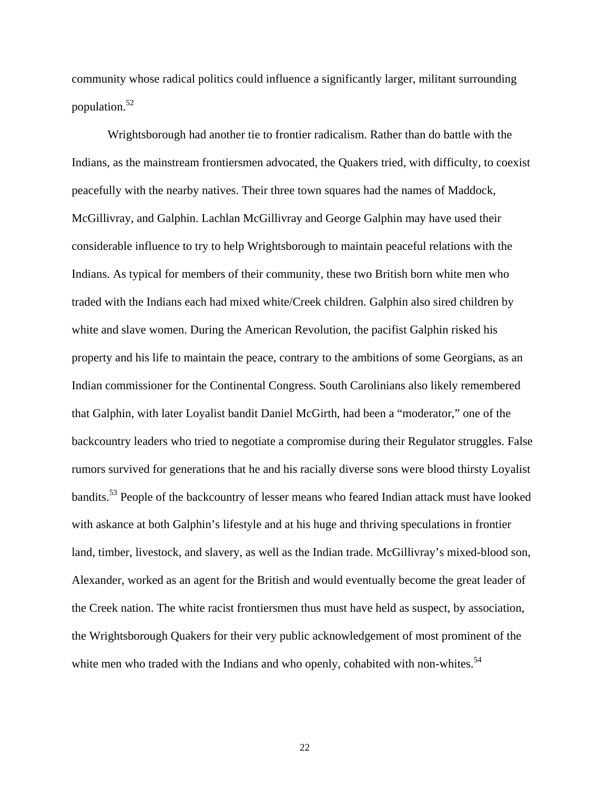community whose radical politics could influence a significantly larger, militant surrounding population.[52](#page-65-43)

Wrightsborough had another tie to frontier radicalism. Rather than do battle with the Indians, as the mainstream frontiersmen advocated, the Quakers tried, with difficulty, to coexist peacefully with the nearby natives. Their three town squares had the names of Maddock, McGillivray, and Galphin. Lachlan McGillivray and George Galphin may have used their considerable influence to try to help Wrightsborough to maintain peaceful relations with the Indians. As typical for members of their community, these two British born white men who traded with the Indians each had mixed white/Creek children. Galphin also sired children by white and slave women. During the American Revolution, the pacifist Galphin risked his property and his life to maintain the peace, contrary to the ambitions of some Georgians, as an Indian commissioner for the Continental Congress. South Carolinians also likely remembered that Galphin, with later Loyalist bandit Daniel McGirth, had been a "moderator," one of the backcountry leaders who tried to negotiate a compromise during their Regulator struggles. False rumors survived for generations that he and his racially diverse sons were blood thirsty Loyalist bandits.[53 P](#page-65-44)eople of the backcountry of lesser means who feared Indian attack must have looked with askance at both Galphin's lifestyle and at his huge and thriving speculations in frontier land, timber, livestock, and slavery, as well as the Indian trade. McGillivray's mixed-blood son, Alexander, worked as an agent for the British and would eventually become the great leader of the Creek nation. The white racist frontiersmen thus must have held as suspect, by association, the Wrightsborough Quakers for their very public acknowledgement of most prominent of the white men who traded with the Indians and who openly, cohabited with non-whites.<sup>[54](#page-65-45)</sup>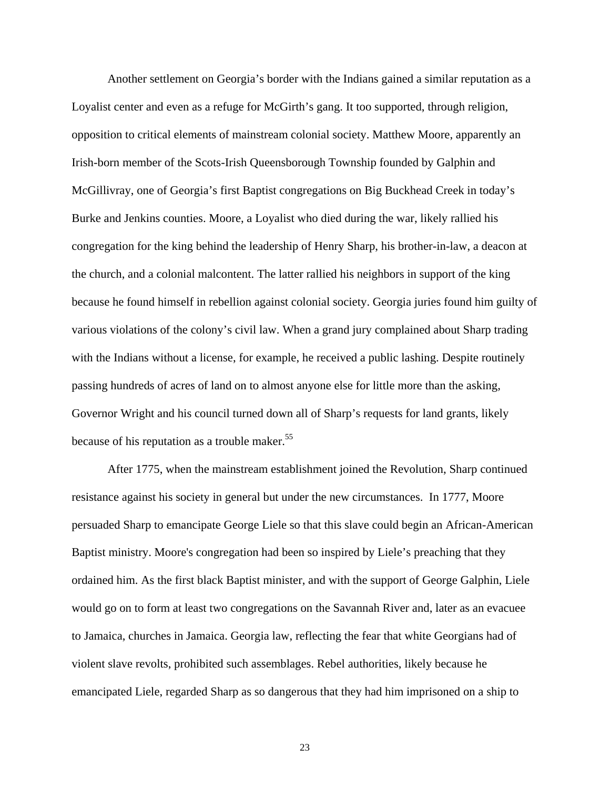Another settlement on Georgia's border with the Indians gained a similar reputation as a Loyalist center and even as a refuge for McGirth's gang. It too supported, through religion, opposition to critical elements of mainstream colonial society. Matthew Moore, apparently an Irish-born member of the Scots-Irish Queensborough Township founded by Galphin and McGillivray, one of Georgia's first Baptist congregations on Big Buckhead Creek in today's Burke and Jenkins counties. Moore, a Loyalist who died during the war, likely rallied his congregation for the king behind the leadership of Henry Sharp, his brother-in-law, a deacon at the church, and a colonial malcontent. The latter rallied his neighbors in support of the king because he found himself in rebellion against colonial society. Georgia juries found him guilty of various violations of the colony's civil law. When a grand jury complained about Sharp trading with the Indians without a license, for example, he received a public lashing. Despite routinely passing hundreds of acres of land on to almost anyone else for little more than the asking, Governor Wright and his council turned down all of Sharp's requests for land grants, likely because of his reputation as a trouble maker.<sup>[55](#page-65-20)</sup>

After 1775, when the mainstream establishment joined the Revolution, Sharp continued resistance against his society in general but under the new circumstances. In 1777, Moore persuaded Sharp to emancipate George Liele so that this slave could begin an African-American Baptist ministry. Moore's congregation had been so inspired by Liele's preaching that they ordained him. As the first black Baptist minister, and with the support of George Galphin, Liele would go on to form at least two congregations on the Savannah River and, later as an evacuee to Jamaica, churches in Jamaica. Georgia law, reflecting the fear that white Georgians had of violent slave revolts, prohibited such assemblages. Rebel authorities, likely because he emancipated Liele, regarded Sharp as so dangerous that they had him imprisoned on a ship to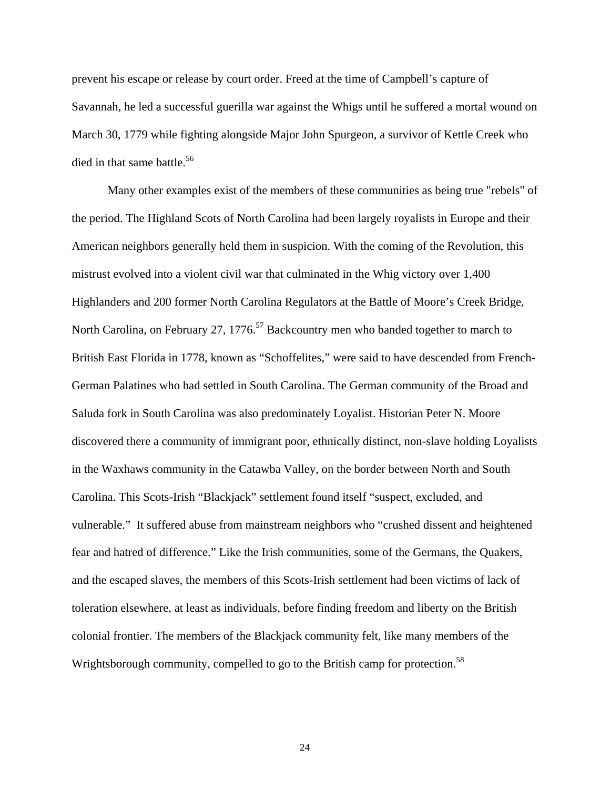prevent his escape or release by court order. Freed at the time of Campbell's capture of Savannah, he led a successful guerilla war against the Whigs until he suffered a mortal wound on March 30, 1779 while fighting alongside Major John Spurgeon, a survivor of Kettle Creek who died in that same battle.<sup>[56](#page-65-43)</sup>

 Many other examples exist of the members of these communities as being true "rebels" of the period. The Highland Scots of North Carolina had been largely royalists in Europe and their American neighbors generally held them in suspicion. With the coming of the Revolution, this mistrust evolved into a violent civil war that culminated in the Whig victory over 1,400 Highlanders and 200 former North Carolina Regulators at the Battle of Moore's Creek Bridge, North Carolina, on February 27, 1776.<sup>57</sup> Backcountry men who banded together to march to British East Florida in 1778, known as "Schoffelites," were said to have descended from French-German Palatines who had settled in South Carolina. The German community of the Broad and Saluda fork in South Carolina was also predominately Loyalist. Historian Peter N. Moore discovered there a community of immigrant poor, ethnically distinct, non-slave holding Loyalists in the Waxhaws community in the Catawba Valley, on the border between North and South Carolina. This Scots-Irish "Blackjack" settlement found itself "suspect, excluded, and vulnerable." It suffered abuse from mainstream neighbors who "crushed dissent and heightened fear and hatred of difference." Like the Irish communities, some of the Germans, the Quakers, and the escaped slaves, the members of this Scots-Irish settlement had been victims of lack of toleration elsewhere, at least as individuals, before finding freedom and liberty on the British colonial frontier. The members of the Blackjack community felt, like many members of the Wrightsborough community, compelled to go to the British camp for protection.<sup>[58](#page-65-47)</sup>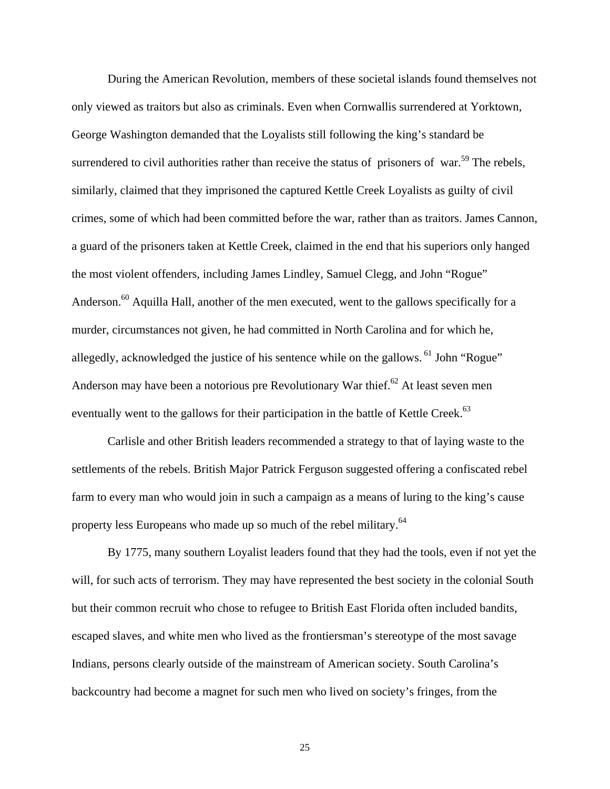During the American Revolution, members of these societal islands found themselves not only viewed as traitors but also as criminals. Even when Cornwallis surrendered at Yorktown, George Washington demanded that the Loyalists still following the king's standard be surrendered to civil authorities rather than receive the status of prisoners of war.<sup>59</sup> The rebels, similarly, claimed that they imprisoned the captured Kettle Creek Loyalists as guilty of civil crimes, some of which had been committed before the war, rather than as traitors. James Cannon, a guard of the prisoners taken at Kettle Creek, claimed in the end that his superiors only hanged the most violent offenders, including James Lindley, Samuel Clegg, and John "Rogue" Anderson.<sup>60</sup> Aquilla Hall, another of the men executed, went to the gallows specifically for a murder, circumstances not given, he had committed in North Carolina and for which he, allegedly, acknowledged the justice of his sentence while on the gallows. <sup>61</sup> John "Rogue" Anderson may have been a notorious pre Revolutionary War thief.<sup>62</sup> At least seven men eventually went to the gallows for their participation in the battle of Kettle Creek.<sup>[63](#page-65-51)</sup>

 Carlisle and other British leaders recommended a strategy to that of laying waste to the settlements of the rebels. British Major Patrick Ferguson suggested offering a confiscated rebel farm to every man who would join in such a campaign as a means of luring to the king's cause property less Europeans who made up so much of the rebel military.<sup>[64](#page-65-52)</sup>

By 1775, many southern Loyalist leaders found that they had the tools, even if not yet the will, for such acts of terrorism. They may have represented the best society in the colonial South but their common recruit who chose to refugee to British East Florida often included bandits, escaped slaves, and white men who lived as the frontiersman's stereotype of the most savage Indians, persons clearly outside of the mainstream of American society. South Carolina's backcountry had become a magnet for such men who lived on society's fringes, from the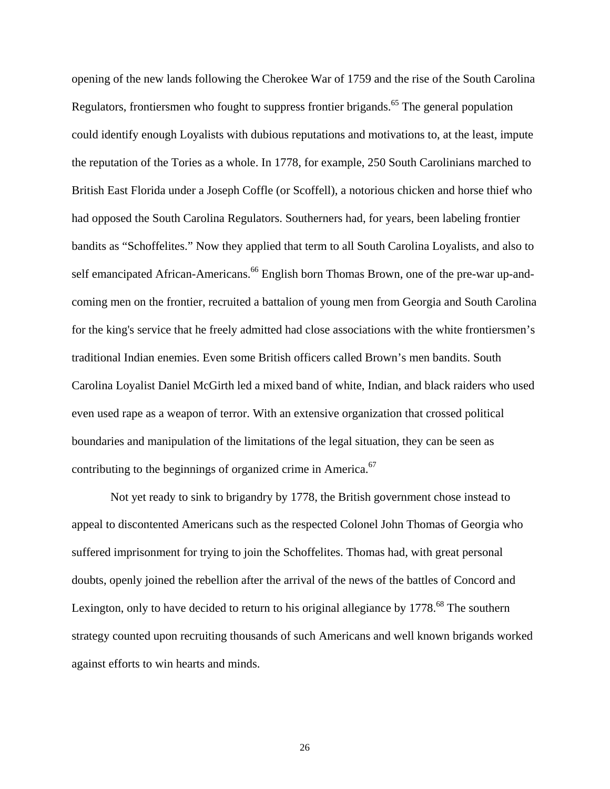opening of the new lands following the Cherokee War of 1759 and the rise of the South Carolina Regulators, frontiersmen who fought to suppress frontier brigands.<sup>65</sup> The general population could identify enough Loyalists with dubious reputations and motivations to, at the least, impute the reputation of the Tories as a whole. In 1778, for example, 250 South Carolinians marched to British East Florida under a Joseph Coffle (or Scoffell), a notorious chicken and horse thief who had opposed the South Carolina Regulators. Southerners had, for years, been labeling frontier bandits as "Schoffelites." Now they applied that term to all South Carolina Loyalists, and also to self emancipated African-Americans.<sup>66</sup> English born Thomas Brown, one of the pre-war up-andcoming men on the frontier, recruited a battalion of young men from Georgia and South Carolina for the king's service that he freely admitted had close associations with the white frontiersmen's traditional Indian enemies. Even some British officers called Brown's men bandits. South Carolina Loyalist Daniel McGirth led a mixed band of white, Indian, and black raiders who used even used rape as a weapon of terror. With an extensive organization that crossed political boundaries and manipulation of the limitations of the legal situation, they can be seen as contributing to the beginnings of organized crime in America.<sup>[67](#page-65-32)</sup>

 Not yet ready to sink to brigandry by 1778, the British government chose instead to appeal to discontented Americans such as the respected Colonel John Thomas of Georgia who suffered imprisonment for trying to join the Schoffelites. Thomas had, with great personal doubts, openly joined the rebellion after the arrival of the news of the battles of Concord and Lexington, only to have decided to return to his original allegiance by 1778.<sup>68</sup> The southern strategy counted upon recruiting thousands of such Americans and well known brigands worked against efforts to win hearts and minds.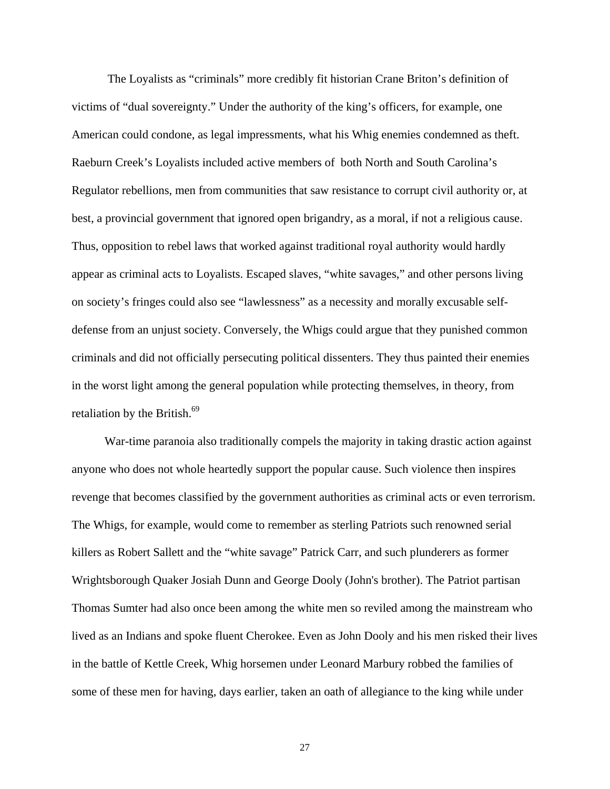The Loyalists as "criminals" more credibly fit historian Crane Briton's definition of victims of "dual sovereignty." Under the authority of the king's officers, for example, one American could condone, as legal impressments, what his Whig enemies condemned as theft. Raeburn Creek's Loyalists included active members of both North and South Carolina's Regulator rebellions, men from communities that saw resistance to corrupt civil authority or, at best, a provincial government that ignored open brigandry, as a moral, if not a religious cause. Thus, opposition to rebel laws that worked against traditional royal authority would hardly appear as criminal acts to Loyalists. Escaped slaves, "white savages," and other persons living on society's fringes could also see "lawlessness" as a necessity and morally excusable selfdefense from an unjust society. Conversely, the Whigs could argue that they punished common criminals and did not officially persecuting political dissenters. They thus painted their enemies in the worst light among the general population while protecting themselves, in theory, from retaliation by the British.<sup>69</sup>

 War-time paranoia also traditionally compels the majority in taking drastic action against anyone who does not whole heartedly support the popular cause. Such violence then inspires revenge that becomes classified by the government authorities as criminal acts or even terrorism. The Whigs, for example, would come to remember as sterling Patriots such renowned serial killers as Robert Sallett and the "white savage" Patrick Carr, and such plunderers as former Wrightsborough Quaker Josiah Dunn and George Dooly (John's brother). The Patriot partisan Thomas Sumter had also once been among the white men so reviled among the mainstream who lived as an Indians and spoke fluent Cherokee. Even as John Dooly and his men risked their lives in the battle of Kettle Creek, Whig horsemen under Leonard Marbury robbed the families of some of these men for having, days earlier, taken an oath of allegiance to the king while under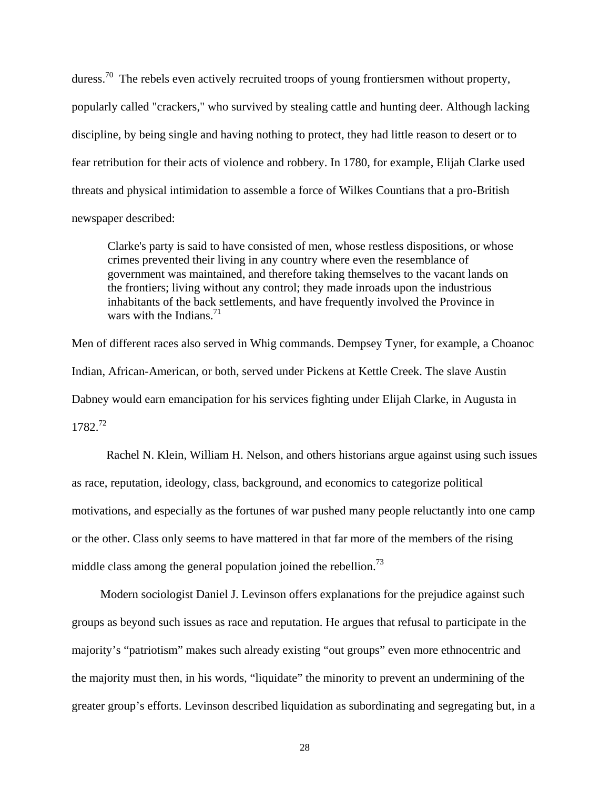duress.<sup>70</sup> The rebels even actively recruited troops of young frontiersmen without property, popularly called "crackers," who survived by stealing cattle and hunting deer. Although lacking discipline, by being single and having nothing to protect, they had little reason to desert or to fear retribution for their acts of violence and robbery. In 1780, for example, Elijah Clarke used threats and physical intimidation to assemble a force of Wilkes Countians that a pro-British newspaper described:

Clarke's party is said to have consisted of men, whose restless dispositions, or whose crimes prevented their living in any country where even the resemblance of government was maintained, and therefore taking themselves to the vacant lands on the frontiers; living without any control; they made inroads upon the industrious inhabitants of the back settlements, and have frequently involved the Province in wars with the Indians. $^{71}$  $^{71}$  $^{71}$ 

Men of different races also served in Whig commands. Dempsey Tyner, for example, a Choanoc Indian, African-American, or both, served under Pickens at Kettle Creek. The slave Austin Dabney would earn emancipation for his services fighting under Elijah Clarke, in Augusta in 1782.[72](#page-65-8)

 Rachel N. Klein, William H. Nelson, and others historians argue against using such issues as race, reputation, ideology, class, background, and economics to categorize political motivations, and especially as the fortunes of war pushed many people reluctantly into one camp or the other. Class only seems to have mattered in that far more of the members of the rising middle class among the general population joined the rebellion.<sup>73</sup>

Modern sociologist Daniel J. Levinson offers explanations for the prejudice against such groups as beyond such issues as race and reputation. He argues that refusal to participate in the majority's "patriotism" makes such already existing "out groups" even more ethnocentric and the majority must then, in his words, "liquidate" the minority to prevent an undermining of the greater group's efforts. Levinson described liquidation as subordinating and segregating but, in a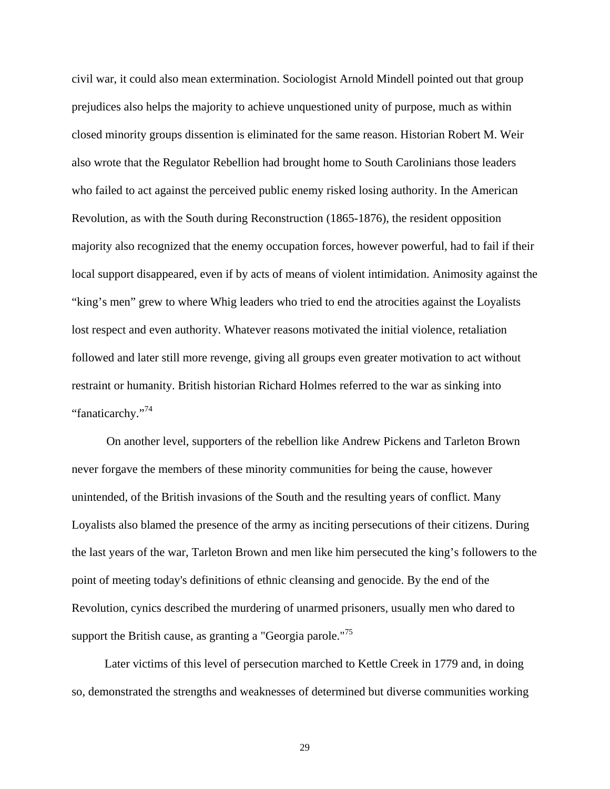civil war, it could also mean extermination. Sociologist Arnold Mindell pointed out that group prejudices also helps the majority to achieve unquestioned unity of purpose, much as within closed minority groups dissention is eliminated for the same reason. Historian Robert M. Weir also wrote that the Regulator Rebellion had brought home to South Carolinians those leaders who failed to act against the perceived public enemy risked losing authority. In the American Revolution, as with the South during Reconstruction (1865-1876), the resident opposition majority also recognized that the enemy occupation forces, however powerful, had to fail if their local support disappeared, even if by acts of means of violent intimidation. Animosity against the "king's men" grew to where Whig leaders who tried to end the atrocities against the Loyalists lost respect and even authority. Whatever reasons motivated the initial violence, retaliation followed and later still more revenge, giving all groups even greater motivation to act without restraint or humanity. British historian Richard Holmes referred to the war as sinking into "fanaticarchy."<sup>[74](#page-65-28)</sup>

 On another level, supporters of the rebellion like Andrew Pickens and Tarleton Brown never forgave the members of these minority communities for being the cause, however unintended, of the British invasions of the South and the resulting years of conflict. Many Loyalists also blamed the presence of the army as inciting persecutions of their citizens. During the last years of the war, Tarleton Brown and men like him persecuted the king's followers to the point of meeting today's definitions of ethnic cleansing and genocide. By the end of the Revolution, cynics described the murdering of unarmed prisoners, usually men who dared to support the British cause, as granting a "Georgia parole."<sup>[75](#page-65-12)</sup>

 Later victims of this level of persecution marched to Kettle Creek in 1779 and, in doing so, demonstrated the strengths and weaknesses of determined but diverse communities working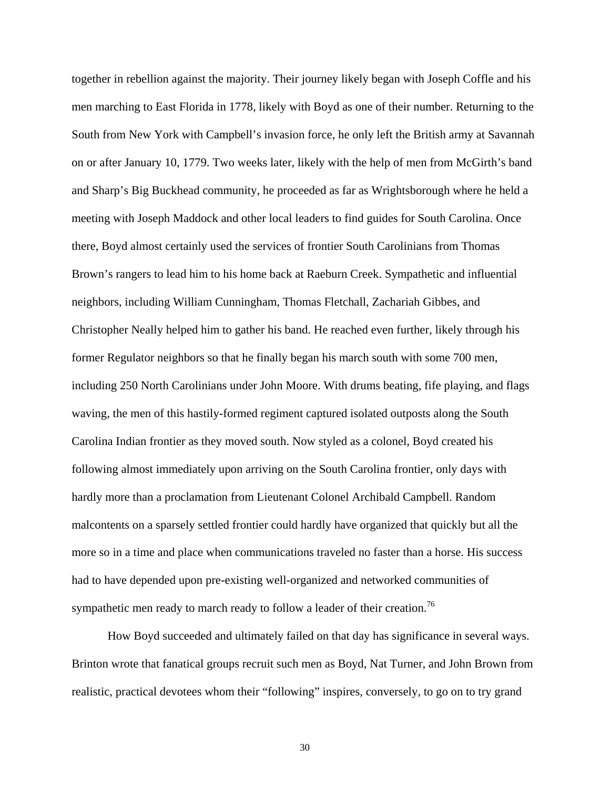together in rebellion against the majority. Their journey likely began with Joseph Coffle and his men marching to East Florida in 1778, likely with Boyd as one of their number. Returning to the South from New York with Campbell's invasion force, he only left the British army at Savannah on or after January 10, 1779. Two weeks later, likely with the help of men from McGirth's band and Sharp's Big Buckhead community, he proceeded as far as Wrightsborough where he held a meeting with Joseph Maddock and other local leaders to find guides for South Carolina. Once there, Boyd almost certainly used the services of frontier South Carolinians from Thomas Brown's rangers to lead him to his home back at Raeburn Creek. Sympathetic and influential neighbors, including William Cunningham, Thomas Fletchall, Zachariah Gibbes, and Christopher Neally helped him to gather his band. He reached even further, likely through his former Regulator neighbors so that he finally began his march south with some 700 men, including 250 North Carolinians under John Moore. With drums beating, fife playing, and flags waving, the men of this hastily-formed regiment captured isolated outposts along the South Carolina Indian frontier as they moved south. Now styled as a colonel, Boyd created his following almost immediately upon arriving on the South Carolina frontier, only days with hardly more than a proclamation from Lieutenant Colonel Archibald Campbell. Random malcontents on a sparsely settled frontier could hardly have organized that quickly but all the more so in a time and place when communications traveled no faster than a horse. His success had to have depended upon pre-existing well-organized and networked communities of sympathetic men ready to march ready to follow a leader of their creation.<sup>[76](#page-65-59)</sup>

 How Boyd succeeded and ultimately failed on that day has significance in several ways. Brinton wrote that fanatical groups recruit such men as Boyd, Nat Turner, and John Brown from realistic, practical devotees whom their "following" inspires, conversely, to go on to try grand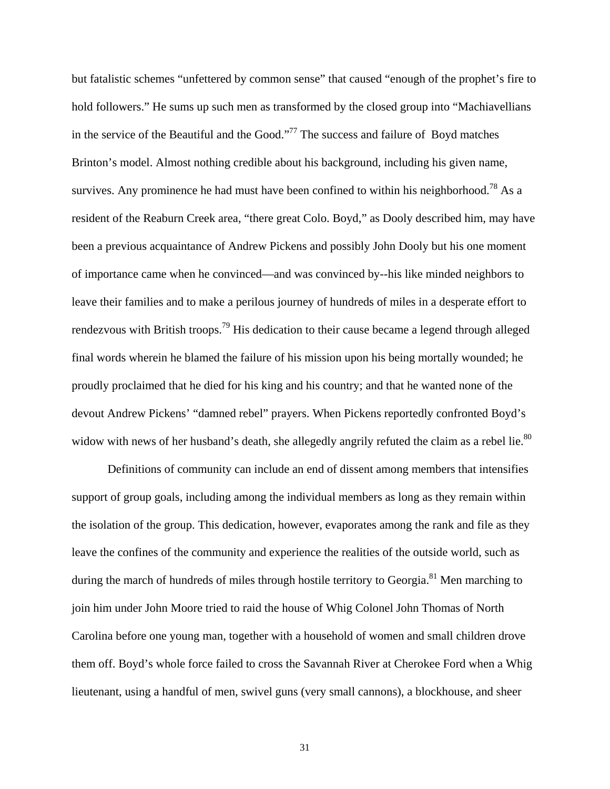but fatalistic schemes "unfettered by common sense" that caused "enough of the prophet's fire to hold followers." He sums up such men as transformed by the closed group into "Machiavellians" in the service of the Beautiful and the Good.["77](#page-65-60) The success and failure of Boyd matches Brinton's model. Almost nothing credible about his background, including his given name, survives. Any prominence he had must have been confined to within his neighborhood.<sup>78</sup> As a resident of the Reaburn Creek area, "there great Colo. Boyd," as Dooly described him, may have been a previous acquaintance of Andrew Pickens and possibly John Dooly but his one moment of importance came when he convinced—and was convinced by--his like minded neighbors to leave their families and to make a perilous journey of hundreds of miles in a desperate effort to rendezvous with British troops.<sup>79</sup> His dedication to their cause became a legend through alleged final words wherein he blamed the failure of his mission upon his being mortally wounded; he proudly proclaimed that he died for his king and his country; and that he wanted none of the devout Andrew Pickens' "damned rebel" prayers. When Pickens reportedly confronted Boyd's widow with news of her husband's death, she allegedly angrily refuted the claim as a rebel lie.<sup>[80](#page-65-33)</sup>

 Definitions of community can include an end of dissent among members that intensifies support of group goals, including among the individual members as long as they remain within the isolation of the group. This dedication, however, evaporates among the rank and file as they leave the confines of the community and experience the realities of the outside world, such as during the march of hundreds of miles through hostile territory to Georgia.<sup>81</sup> Men marching to join him under John Moore tried to raid the house of Whig Colonel John Thomas of North Carolina before one young man, together with a household of women and small children drove them off. Boyd's whole force failed to cross the Savannah River at Cherokee Ford when a Whig lieutenant, using a handful of men, swivel guns (very small cannons), a blockhouse, and sheer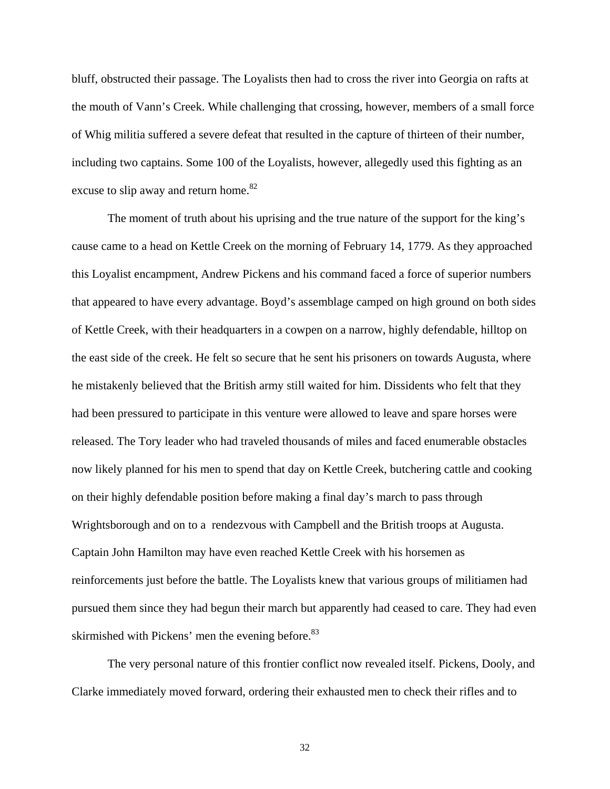bluff, obstructed their passage. The Loyalists then had to cross the river into Georgia on rafts at the mouth of Vann's Creek. While challenging that crossing, however, members of a small force of Whig militia suffered a severe defeat that resulted in the capture of thirteen of their number, including two captains. Some 100 of the Loyalists, however, allegedly used this fighting as an excuse to slip away and return home.<sup>[82](#page-65-62)</sup>

The moment of truth about his uprising and the true nature of the support for the king's cause came to a head on Kettle Creek on the morning of February 14, 1779. As they approached this Loyalist encampment, Andrew Pickens and his command faced a force of superior numbers that appeared to have every advantage. Boyd's assemblage camped on high ground on both sides of Kettle Creek, with their headquarters in a cowpen on a narrow, highly defendable, hilltop on the east side of the creek. He felt so secure that he sent his prisoners on towards Augusta, where he mistakenly believed that the British army still waited for him. Dissidents who felt that they had been pressured to participate in this venture were allowed to leave and spare horses were released. The Tory leader who had traveled thousands of miles and faced enumerable obstacles now likely planned for his men to spend that day on Kettle Creek, butchering cattle and cooking on their highly defendable position before making a final day's march to pass through Wrightsborough and on to a rendezvous with Campbell and the British troops at Augusta. Captain John Hamilton may have even reached Kettle Creek with his horsemen as reinforcements just before the battle. The Loyalists knew that various groups of militiamen had pursued them since they had begun their march but apparently had ceased to care. They had even skirmished with Pickens' men the evening before.<sup>[83](#page-65-63)</sup>

The very personal nature of this frontier conflict now revealed itself. Pickens, Dooly, and Clarke immediately moved forward, ordering their exhausted men to check their rifles and to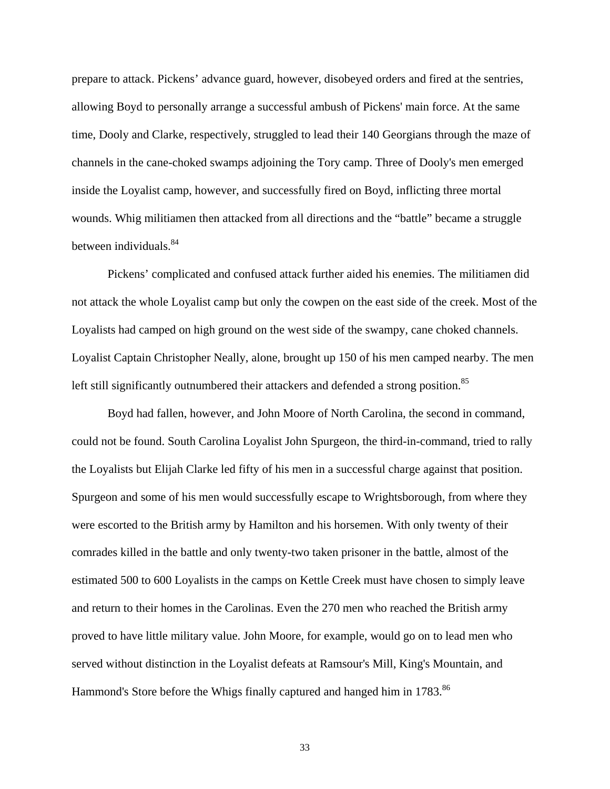prepare to attack. Pickens' advance guard, however, disobeyed orders and fired at the sentries, allowing Boyd to personally arrange a successful ambush of Pickens' main force. At the same time, Dooly and Clarke, respectively, struggled to lead their 140 Georgians through the maze of channels in the cane-choked swamps adjoining the Tory camp. Three of Dooly's men emerged inside the Loyalist camp, however, and successfully fired on Boyd, inflicting three mortal wounds. Whig militiamen then attacked from all directions and the "battle" became a struggle between individuals.<sup>84</sup>

Pickens' complicated and confused attack further aided his enemies. The militiamen did not attack the whole Loyalist camp but only the cowpen on the east side of the creek. Most of the Loyalists had camped on high ground on the west side of the swampy, cane choked channels. Loyalist Captain Christopher Neally, alone, brought up 150 of his men camped nearby. The men left still significantly outnumbered their attackers and defended a strong position.<sup>[85](#page-65-64)</sup>

Boyd had fallen, however, and John Moore of North Carolina, the second in command, could not be found. South Carolina Loyalist John Spurgeon, the third-in-command, tried to rally the Loyalists but Elijah Clarke led fifty of his men in a successful charge against that position. Spurgeon and some of his men would successfully escape to Wrightsborough, from where they were escorted to the British army by Hamilton and his horsemen. With only twenty of their comrades killed in the battle and only twenty-two taken prisoner in the battle, almost of the estimated 500 to 600 Loyalists in the camps on Kettle Creek must have chosen to simply leave and return to their homes in the Carolinas. Even the 270 men who reached the British army proved to have little military value. John Moore, for example, would go on to lead men who served without distinction in the Loyalist defeats at Ramsour's Mill, King's Mountain, and Hammond's Store before the Whigs finally captured and hanged him in 1783.<sup>[86](#page-65-65)</sup>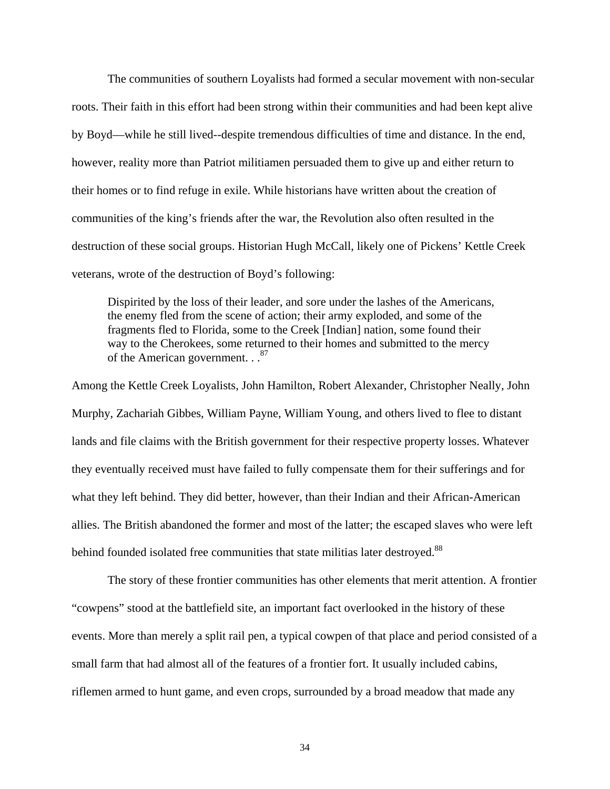The communities of southern Loyalists had formed a secular movement with non-secular roots. Their faith in this effort had been strong within their communities and had been kept alive by Boyd—while he still lived--despite tremendous difficulties of time and distance. In the end, however, reality more than Patriot militiamen persuaded them to give up and either return to their homes or to find refuge in exile. While historians have written about the creation of communities of the king's friends after the war, the Revolution also often resulted in the destruction of these social groups. Historian Hugh McCall, likely one of Pickens' Kettle Creek veterans, wrote of the destruction of Boyd's following:

Dispirited by the loss of their leader, and sore under the lashes of the Americans, the enemy fled from the scene of action; their army exploded, and some of the fragments fled to Florida, some to the Creek [Indian] nation, some found their way to the Cherokees, some returned to their homes and submitted to the mercy of the American government. . . <sup>[87](#page-65-66)</sup>

Among the Kettle Creek Loyalists, John Hamilton, Robert Alexander, Christopher Neally, John Murphy, Zachariah Gibbes, William Payne, William Young, and others lived to flee to distant lands and file claims with the British government for their respective property losses. Whatever they eventually received must have failed to fully compensate them for their sufferings and for what they left behind. They did better, however, than their Indian and their African-American allies. The British abandoned the former and most of the latter; the escaped slaves who were left behind founded isolated free communities that state militias later destroyed.<sup>[88](#page-65-12)</sup>

 The story of these frontier communities has other elements that merit attention. A frontier "cowpens" stood at the battlefield site, an important fact overlooked in the history of these events. More than merely a split rail pen, a typical cowpen of that place and period consisted of a small farm that had almost all of the features of a frontier fort. It usually included cabins, riflemen armed to hunt game, and even crops, surrounded by a broad meadow that made any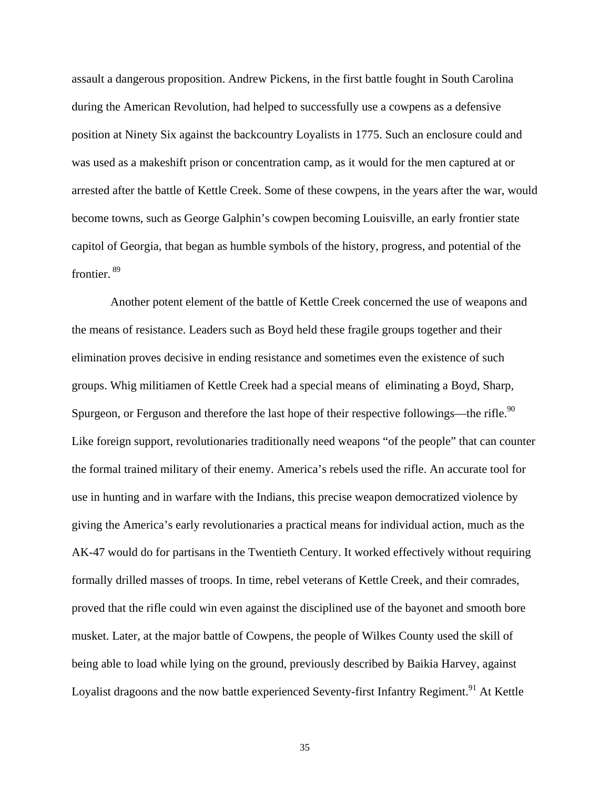assault a dangerous proposition. Andrew Pickens, in the first battle fought in South Carolina during the American Revolution, had helped to successfully use a cowpens as a defensive position at Ninety Six against the backcountry Loyalists in 1775. Such an enclosure could and was used as a makeshift prison or concentration camp, as it would for the men captured at or arrested after the battle of Kettle Creek. Some of these cowpens, in the years after the war, would become towns, such as George Galphin's cowpen becoming Louisville, an early frontier state capitol of Georgia, that began as humble symbols of the history, progress, and potential of the frontier. [89](#page-65-21)

 Another potent element of the battle of Kettle Creek concerned the use of weapons and the means of resistance. Leaders such as Boyd held these fragile groups together and their elimination proves decisive in ending resistance and sometimes even the existence of such groups. Whig militiamen of Kettle Creek had a special means of eliminating a Boyd, Sharp, Spurgeon, or Ferguson and therefore the last hope of their respective followings—the rifle.<sup>[90](#page-65-40)</sup> Like foreign support, revolutionaries traditionally need weapons "of the people" that can counter the formal trained military of their enemy. America's rebels used the rifle. An accurate tool for use in hunting and in warfare with the Indians, this precise weapon democratized violence by giving the America's early revolutionaries a practical means for individual action, much as the AK-47 would do for partisans in the Twentieth Century. It worked effectively without requiring formally drilled masses of troops. In time, rebel veterans of Kettle Creek, and their comrades, proved that the rifle could win even against the disciplined use of the bayonet and smooth bore musket. Later, at the major battle of Cowpens, the people of Wilkes County used the skill of being able to load while lying on the ground, previously described by Baikia Harvey, against Loyalist dragoons and the now battle experienced Seventy-first Infantry Regiment.<sup>91</sup> At Kettle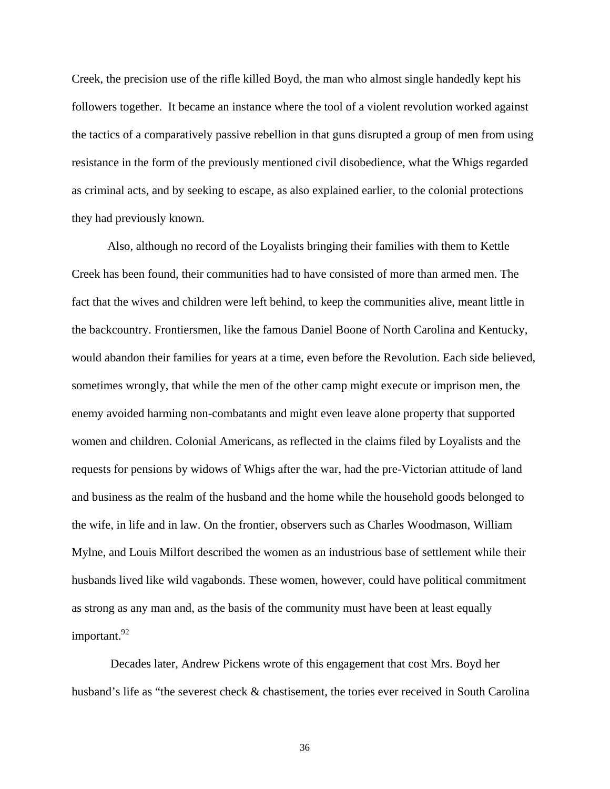Creek, the precision use of the rifle killed Boyd, the man who almost single handedly kept his followers together. It became an instance where the tool of a violent revolution worked against the tactics of a comparatively passive rebellion in that guns disrupted a group of men from using resistance in the form of the previously mentioned civil disobedience, what the Whigs regarded as criminal acts, and by seeking to escape, as also explained earlier, to the colonial protections they had previously known.

 Also, although no record of the Loyalists bringing their families with them to Kettle Creek has been found, their communities had to have consisted of more than armed men. The fact that the wives and children were left behind, to keep the communities alive, meant little in the backcountry. Frontiersmen, like the famous Daniel Boone of North Carolina and Kentucky, would abandon their families for years at a time, even before the Revolution. Each side believed, sometimes wrongly, that while the men of the other camp might execute or imprison men, the enemy avoided harming non-combatants and might even leave alone property that supported women and children. Colonial Americans, as reflected in the claims filed by Loyalists and the requests for pensions by widows of Whigs after the war, had the pre-Victorian attitude of land and business as the realm of the husband and the home while the household goods belonged to the wife, in life and in law. On the frontier, observers such as Charles Woodmason, William Mylne, and Louis Milfort described the women as an industrious base of settlement while their husbands lived like wild vagabonds. These women, however, could have political commitment as strong as any man and, as the basis of the community must have been at least equally important.<sup>[92](#page-65-47)</sup>

 Decades later, Andrew Pickens wrote of this engagement that cost Mrs. Boyd her husband's life as "the severest check & chastisement, the tories ever received in South Carolina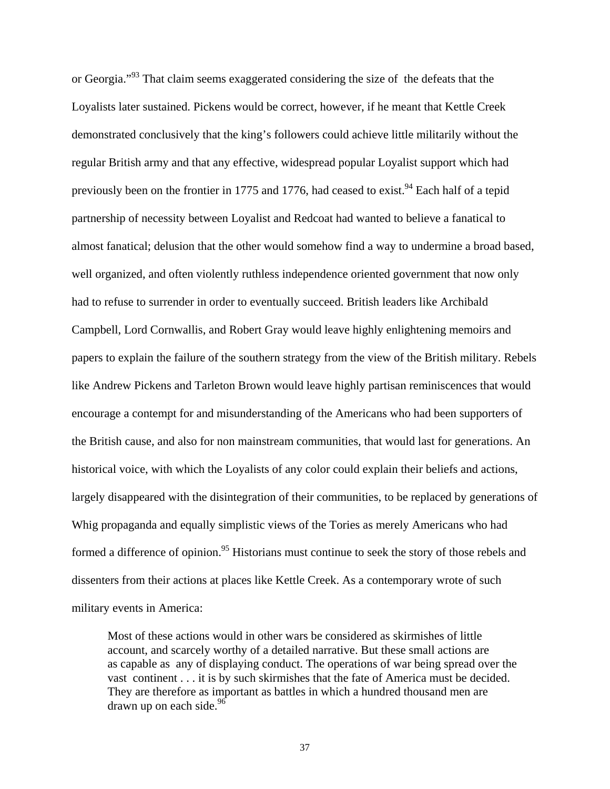or Georgia."<sup>93</sup> That claim seems exaggerated considering the size of the defeats that the Loyalists later sustained. Pickens would be correct, however, if he meant that Kettle Creek demonstrated conclusively that the king's followers could achieve little militarily without the regular British army and that any effective, widespread popular Loyalist support which had previously been on the frontier in 1775 and 1776, had ceased to exist.<sup>94</sup> Each half of a tepid partnership of necessity between Loyalist and Redcoat had wanted to believe a fanatical to almost fanatical; delusion that the other would somehow find a way to undermine a broad based, well organized, and often violently ruthless independence oriented government that now only had to refuse to surrender in order to eventually succeed. British leaders like Archibald Campbell, Lord Cornwallis, and Robert Gray would leave highly enlightening memoirs and papers to explain the failure of the southern strategy from the view of the British military. Rebels like Andrew Pickens and Tarleton Brown would leave highly partisan reminiscences that would encourage a contempt for and misunderstanding of the Americans who had been supporters of the British cause, and also for non mainstream communities, that would last for generations. An historical voice, with which the Loyalists of any color could explain their beliefs and actions, largely disappeared with the disintegration of their communities, to be replaced by generations of Whig propaganda and equally simplistic views of the Tories as merely Americans who had formed a difference of opinion.<sup>95</sup> Historians must continue to seek the story of those rebels and dissenters from their actions at places like Kettle Creek. As a contemporary wrote of such military events in America:

Most of these actions would in other wars be considered as skirmishes of little account, and scarcely worthy of a detailed narrative. But these small actions are as capable as any of displaying conduct. The operations of war being spread over the vast continent . . . it is by such skirmishes that the fate of America must be decided. They are therefore as important as battles in which a hundred thousand men are drawn up on each side. $96$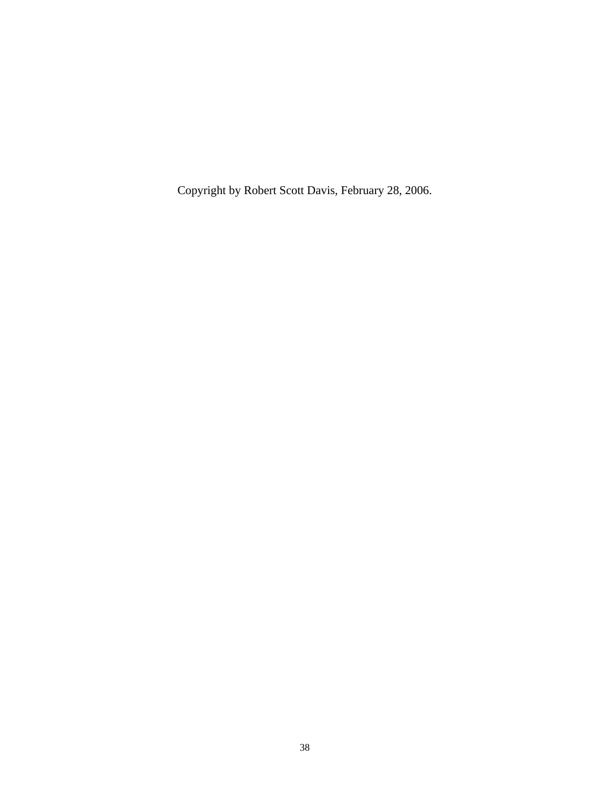Copyright by Robert Scott Davis, February 28, 2006.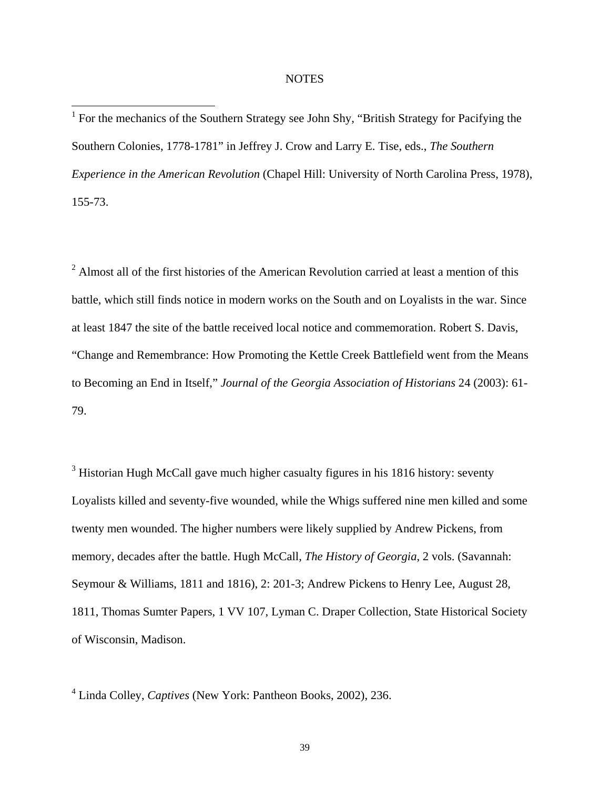## **NOTES**

<sup>1</sup> For the mechanics of the Southern Strategy see John Shy, "British Strategy for Pacifying the Southern Colonies, 1778-1781" in Jeffrey J. Crow and Larry E. Tise, eds., *The Southern Experience in the American Revolution* (Chapel Hill: University of North Carolina Press, 1978), 155-73.

 $2$  Almost all of the first histories of the American Revolution carried at least a mention of this battle, which still finds notice in modern works on the South and on Loyalists in the war. Since at least 1847 the site of the battle received local notice and commemoration. Robert S. Davis, "Change and Remembrance: How Promoting the Kettle Creek Battlefield went from the Means to Becoming an End in Itself," *Journal of the Georgia Association of Historians* 24 (2003): 61- 79.

 $3$  Historian Hugh McCall gave much higher casualty figures in his 1816 history: seventy Loyalists killed and seventy-five wounded, while the Whigs suffered nine men killed and some twenty men wounded. The higher numbers were likely supplied by Andrew Pickens, from memory, decades after the battle. Hugh McCall, *The History of Georgia*, 2 vols. (Savannah: Seymour & Williams, 1811 and 1816), 2: 201-3; Andrew Pickens to Henry Lee, August 28, 1811, Thomas Sumter Papers, 1 VV 107, Lyman C. Draper Collection, State Historical Society of Wisconsin, Madison.

4 Linda Colley, *Captives* (New York: Pantheon Books, 2002), 236.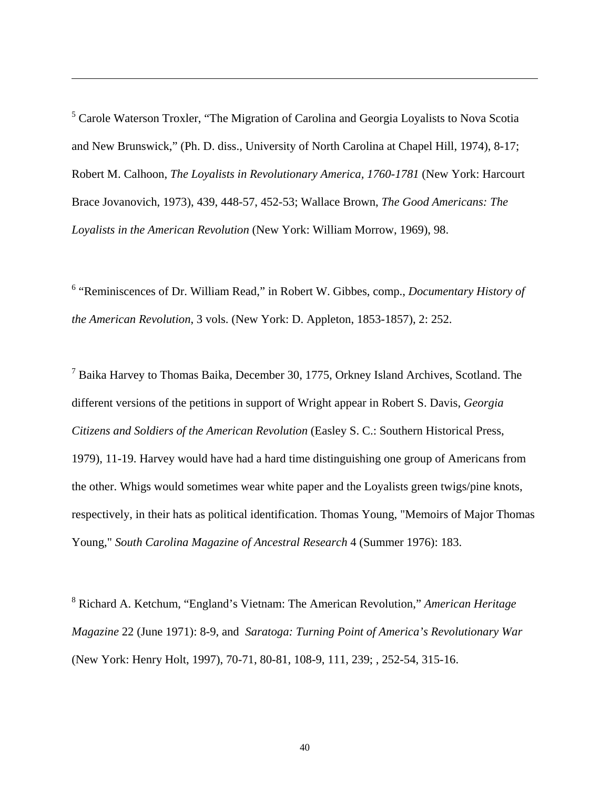<sup>5</sup> Carole Waterson Troxler, "The Migration of Carolina and Georgia Loyalists to Nova Scotia and New Brunswick," (Ph. D. diss., University of North Carolina at Chapel Hill, 1974), 8-17; Robert M. Calhoon, *The Loyalists in Revolutionary America, 1760-1781* (New York: Harcourt Brace Jovanovich, 1973), 439, 448-57, 452-53; Wallace Brown, *The Good Americans: The Loyalists in the American Revolution* (New York: William Morrow, 1969), 98.

 $\overline{a}$ 

<sup>6</sup> "Reminiscences of Dr. William Read," in Robert W. Gibbes, comp., *Documentary History of the American Revolution*, 3 vols. (New York: D. Appleton, 1853-1857), 2: 252.

<sup>7</sup> Baika Harvey to Thomas Baika, December 30, 1775, Orkney Island Archives, Scotland. The different versions of the petitions in support of Wright appear in Robert S. Davis, *Georgia Citizens and Soldiers of the American Revolution* (Easley S. C.: Southern Historical Press, 1979), 11-19. Harvey would have had a hard time distinguishing one group of Americans from the other. Whigs would sometimes wear white paper and the Loyalists green twigs/pine knots, respectively, in their hats as political identification. Thomas Young, "Memoirs of Major Thomas Young," *South Carolina Magazine of Ancestral Research* 4 (Summer 1976): 183.

8 Richard A. Ketchum, "England's Vietnam: The American Revolution," *American Heritage Magazine* 22 (June 1971): 8-9, and *Saratoga: Turning Point of America's Revolutionary War* (New York: Henry Holt, 1997), 70-71, 80-81, 108-9, 111, 239; , 252-54, 315-16.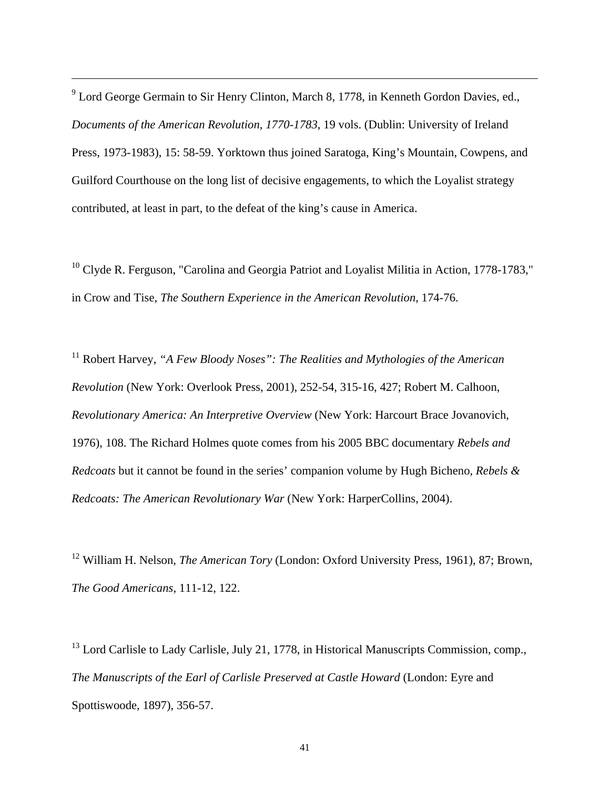<sup>9</sup> Lord George Germain to Sir Henry Clinton, March 8, 1778, in Kenneth Gordon Davies, ed., *Documents of the American Revolution, 1770-1783*, 19 vols. (Dublin: University of Ireland Press, 1973-1983), 15: 58-59. Yorktown thus joined Saratoga, King's Mountain, Cowpens, and Guilford Courthouse on the long list of decisive engagements, to which the Loyalist strategy contributed, at least in part, to the defeat of the king's cause in America.

 $\overline{a}$ 

 $10$  Clyde R. Ferguson, "Carolina and Georgia Patriot and Loyalist Militia in Action, 1778-1783," in Crow and Tise, *The Southern Experience in the American Revolution*, 174-76.

11 Robert Harvey, *"A Few Bloody Noses": The Realities and Mythologies of the American Revolution* (New York: Overlook Press, 2001), 252-54, 315-16, 427; Robert M. Calhoon, *Revolutionary America: An Interpretive Overview* (New York: Harcourt Brace Jovanovich, 1976), 108. The Richard Holmes quote comes from his 2005 BBC documentary *Rebels and Redcoats* but it cannot be found in the series' companion volume by Hugh Bicheno, *Rebels & Redcoats: The American Revolutionary War* (New York: HarperCollins, 2004).

12 William H. Nelson, *The American Tory* (London: Oxford University Press, 1961), 87; Brown, *The Good Americans*, 111-12, 122.

<sup>13</sup> Lord Carlisle to Lady Carlisle, July 21, 1778, in Historical Manuscripts Commission, comp., *The Manuscripts of the Earl of Carlisle Preserved at Castle Howard* (London: Eyre and Spottiswoode, 1897), 356-57.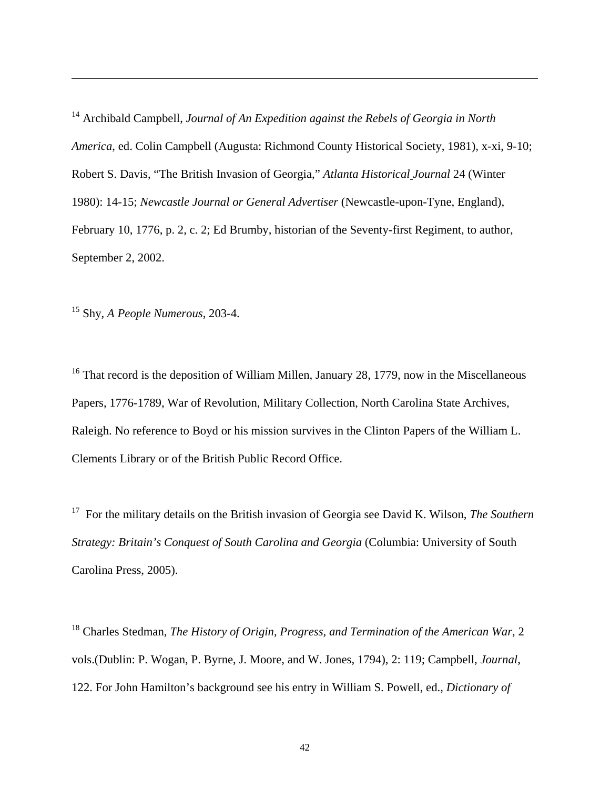14 Archibald Campbell, *Journal of An Expedition against the Rebels of Georgia in North America*, ed. Colin Campbell (Augusta: Richmond County Historical Society, 1981), x-xi, 9-10; Robert S. Davis, "The British Invasion of Georgia," *Atlanta Historical Journal* 24 (Winter 1980): 14-15; *Newcastle Journal or General Advertiser* (Newcastle-upon-Tyne, England), February 10, 1776, p. 2, c. 2; Ed Brumby, historian of the Seventy-first Regiment, to author, September 2, 2002.

15 Shy, *A People Numerous*, 203-4.

 $\overline{a}$ 

<sup>16</sup> That record is the deposition of William Millen, January 28, 1779, now in the Miscellaneous Papers, 1776-1789, War of Revolution, Military Collection, North Carolina State Archives, Raleigh. No reference to Boyd or his mission survives in the Clinton Papers of the William L. Clements Library or of the British Public Record Office.

17 For the military details on the British invasion of Georgia see David K. Wilson, *The Southern Strategy: Britain's Conquest of South Carolina and Georgia* (Columbia: University of South Carolina Press, 2005).

18 Charles Stedman, *The History of Origin, Progress, and Termination of the American War*, 2 vols.(Dublin: P. Wogan, P. Byrne, J. Moore, and W. Jones, 1794), 2: 119; Campbell, *Journal*, 122. For John Hamilton's background see his entry in William S. Powell, ed., *Dictionary of*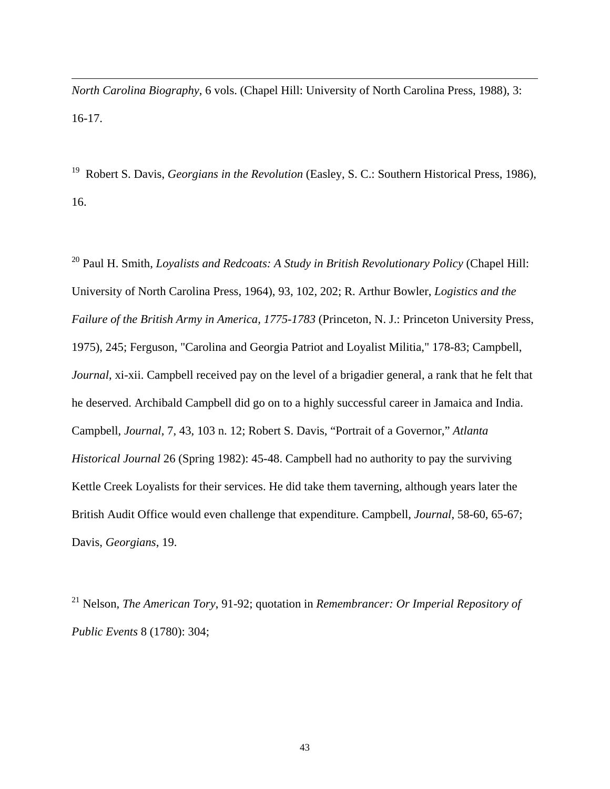*North Carolina Biography*, 6 vols. (Chapel Hill: University of North Carolina Press, 1988), 3: 16-17.

 $\overline{a}$ 

19 Robert S. Davis, *Georgians in the Revolution* (Easley, S. C.: Southern Historical Press, 1986), 16.

20 Paul H. Smith, *Loyalists and Redcoats: A Study in British Revolutionary Policy* (Chapel Hill: University of North Carolina Press, 1964), 93, 102, 202; R. Arthur Bowler, *Logistics and the Failure of the British Army in America, 1775-1783* (Princeton, N. J.: Princeton University Press, 1975), 245; Ferguson, "Carolina and Georgia Patriot and Loyalist Militia," 178-83; Campbell, *Journal*, xi-xii. Campbell received pay on the level of a brigadier general, a rank that he felt that he deserved. Archibald Campbell did go on to a highly successful career in Jamaica and India. Campbell, *Journal*, 7, 43, 103 n. 12; Robert S. Davis, "Portrait of a Governor," *Atlanta Historical Journal* 26 (Spring 1982): 45-48. Campbell had no authority to pay the surviving Kettle Creek Loyalists for their services. He did take them taverning, although years later the British Audit Office would even challenge that expenditure. Campbell, *Journal*, 58-60, 65-67; Davis, *Georgians*, 19.

21 Nelson, *The American Tory*, 91-92; quotation in *Remembrancer: Or Imperial Repository of Public Events* 8 (1780): 304;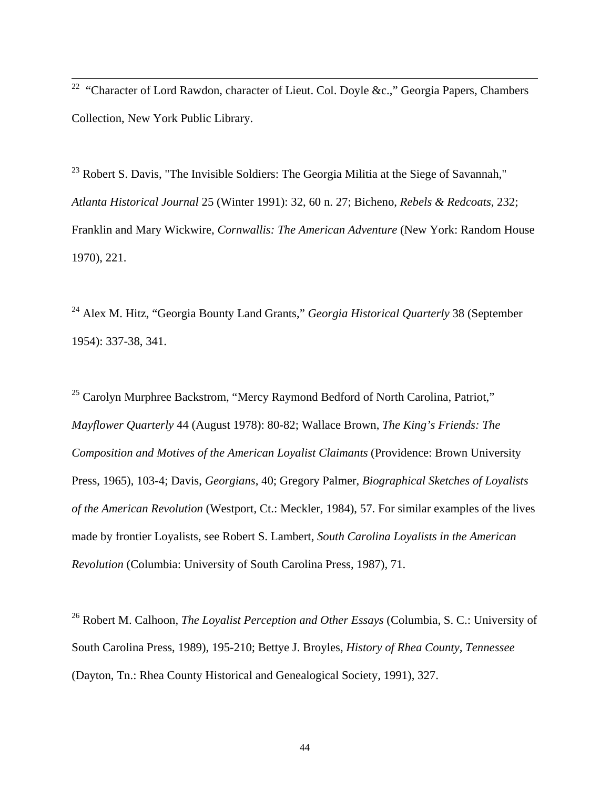<sup>22</sup> "Character of Lord Rawdon, character of Lieut. Col. Doyle &c.," Georgia Papers, Chambers Collection, New York Public Library.

 $23$  Robert S. Davis, "The Invisible Soldiers: The Georgia Militia at the Siege of Savannah," *Atlanta Historical Journal* 25 (Winter 1991): 32, 60 n. 27; Bicheno, *Rebels & Redcoats*, 232; Franklin and Mary Wickwire, *Cornwallis: The American Adventure* (New York: Random House 1970), 221.

24 Alex M. Hitz, "Georgia Bounty Land Grants," *Georgia Historical Quarterly* 38 (September 1954): 337-38, 341.

<sup>25</sup> Carolyn Murphree Backstrom, "Mercy Raymond Bedford of North Carolina, Patriot," *Mayflower Quarterly* 44 (August 1978): 80-82; Wallace Brown, *The King's Friends: The Composition and Motives of the American Loyalist Claimants* (Providence: Brown University Press, 1965), 103-4; Davis, *Georgians*, 40; Gregory Palmer, *Biographical Sketches of Loyalists of the American Revolution* (Westport, Ct.: Meckler, 1984), 57. For similar examples of the lives made by frontier Loyalists, see Robert S. Lambert, *South Carolina Loyalists in the American Revolution* (Columbia: University of South Carolina Press, 1987), 71.

26 Robert M. Calhoon, *The Loyalist Perception and Other Essays* (Columbia, S. C.: University of South Carolina Press, 1989), 195-210; Bettye J. Broyles, *History of Rhea County, Tennessee* (Dayton, Tn.: Rhea County Historical and Genealogical Society, 1991), 327.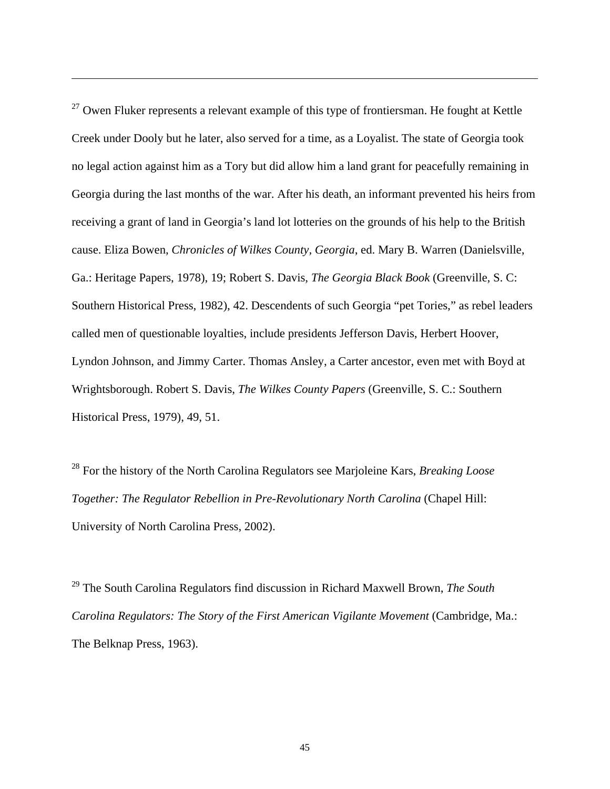$27$  Owen Fluker represents a relevant example of this type of frontiersman. He fought at Kettle Creek under Dooly but he later, also served for a time, as a Loyalist. The state of Georgia took no legal action against him as a Tory but did allow him a land grant for peacefully remaining in Georgia during the last months of the war. After his death, an informant prevented his heirs from receiving a grant of land in Georgia's land lot lotteries on the grounds of his help to the British cause. Eliza Bowen, *Chronicles of Wilkes County, Georgia*, ed. Mary B. Warren (Danielsville, Ga.: Heritage Papers, 1978), 19; Robert S. Davis, *The Georgia Black Book* (Greenville, S. C: Southern Historical Press, 1982), 42. Descendents of such Georgia "pet Tories," as rebel leaders called men of questionable loyalties, include presidents Jefferson Davis, Herbert Hoover, Lyndon Johnson, and Jimmy Carter. Thomas Ansley, a Carter ancestor, even met with Boyd at Wrightsborough. Robert S. Davis, *The Wilkes County Papers* (Greenville, S. C.: Southern Historical Press, 1979), 49, 51.

 $\overline{a}$ 

28 For the history of the North Carolina Regulators see Marjoleine Kars, *Breaking Loose Together: The Regulator Rebellion in Pre-Revolutionary North Carolina* (Chapel Hill: University of North Carolina Press, 2002).

29 The South Carolina Regulators find discussion in Richard Maxwell Brown, *The South Carolina Regulators: The Story of the First American Vigilante Movement* (Cambridge, Ma.: The Belknap Press, 1963).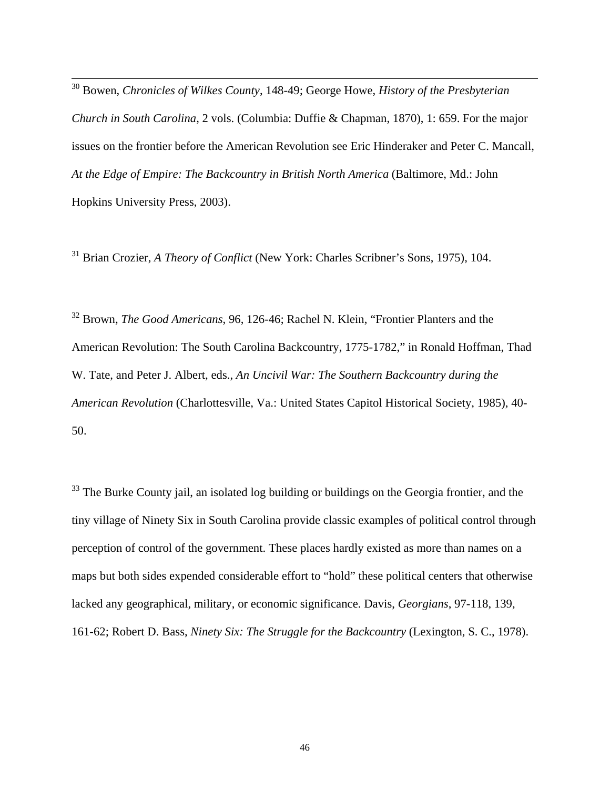30 Bowen, *Chronicles of Wilkes County*, 148-49; George Howe, *History of the Presbyterian Church in South Carolina*, 2 vols. (Columbia: Duffie & Chapman, 1870), 1: 659. For the major issues on the frontier before the American Revolution see Eric Hinderaker and Peter C. Mancall, *At the Edge of Empire: The Backcountry in British North America* (Baltimore, Md.: John Hopkins University Press, 2003).

31 Brian Crozier, *A Theory of Conflict* (New York: Charles Scribner's Sons, 1975), 104.

32 Brown, *The Good Americans*, 96, 126-46; Rachel N. Klein, "Frontier Planters and the American Revolution: The South Carolina Backcountry, 1775-1782," in Ronald Hoffman, Thad W. Tate, and Peter J. Albert, eds., *An Uncivil War: The Southern Backcountry during the American Revolution* (Charlottesville, Va.: United States Capitol Historical Society, 1985), 40- 50.

<sup>33</sup> The Burke County jail, an isolated log building or buildings on the Georgia frontier, and the tiny village of Ninety Six in South Carolina provide classic examples of political control through perception of control of the government. These places hardly existed as more than names on a maps but both sides expended considerable effort to "hold" these political centers that otherwise lacked any geographical, military, or economic significance. Davis, *Georgians*, 97-118, 139, 161-62; Robert D. Bass, *Ninety Six: The Struggle for the Backcountry* (Lexington, S. C., 1978).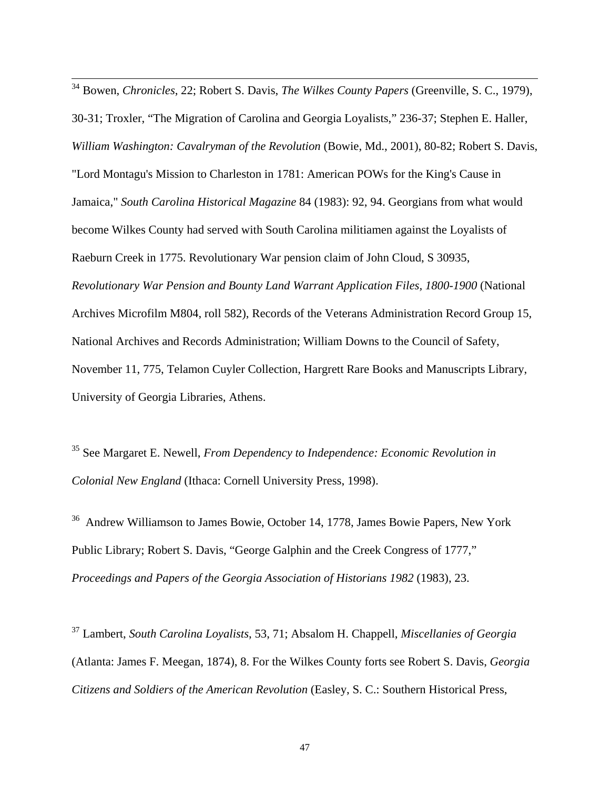34 Bowen, *Chronicles*, 22; Robert S. Davis, *The Wilkes County Papers* (Greenville, S. C., 1979), 30-31; Troxler, "The Migration of Carolina and Georgia Loyalists," 236-37; Stephen E. Haller, *William Washington: Cavalryman of the Revolution* (Bowie, Md., 2001), 80-82; Robert S. Davis, "Lord Montagu's Mission to Charleston in 1781: American POWs for the King's Cause in Jamaica," *South Carolina Historical Magazine* 84 (1983): 92, 94. Georgians from what would become Wilkes County had served with South Carolina militiamen against the Loyalists of Raeburn Creek in 1775. Revolutionary War pension claim of John Cloud, S 30935, *Revolutionary War Pension and Bounty Land Warrant Application Files, 1800-1900* (National Archives Microfilm M804, roll 582), Records of the Veterans Administration Record Group 15, National Archives and Records Administration; William Downs to the Council of Safety, November 11, 775, Telamon Cuyler Collection, Hargrett Rare Books and Manuscripts Library, University of Georgia Libraries, Athens.

35 See Margaret E. Newell, *From Dependency to Independence: Economic Revolution in Colonial New England* (Ithaca: Cornell University Press, 1998).

<sup>36</sup> Andrew Williamson to James Bowie, October 14, 1778, James Bowie Papers, New York Public Library; Robert S. Davis, "George Galphin and the Creek Congress of 1777," *Proceedings and Papers of the Georgia Association of Historians 1982* (1983), 23.

37 Lambert, *South Carolina Loyalists*, 53, 71; Absalom H. Chappell, *Miscellanies of Georgia* (Atlanta: James F. Meegan, 1874), 8. For the Wilkes County forts see Robert S. Davis, *Georgia Citizens and Soldiers of the American Revolution* (Easley, S. C.: Southern Historical Press,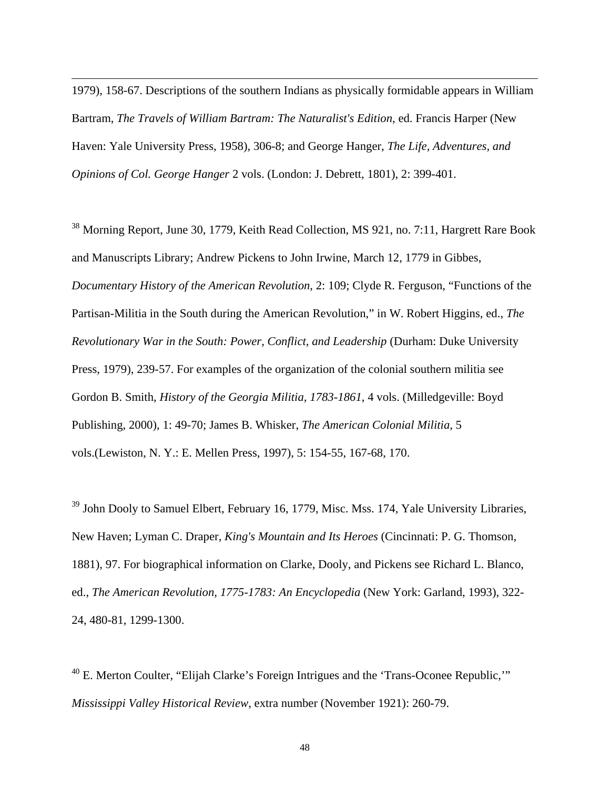1979), 158-67. Descriptions of the southern Indians as physically formidable appears in William Bartram, *The Travels of William Bartram: The Naturalist's Edition*, ed. Francis Harper (New Haven: Yale University Press, 1958), 306-8; and George Hanger, *The Life, Adventures, and Opinions of Col. George Hanger* 2 vols. (London: J. Debrett, 1801), 2: 399-401.

 $\overline{a}$ 

<sup>38</sup> Morning Report, June 30, 1779, Keith Read Collection, MS 921, no. 7:11, Hargrett Rare Book and Manuscripts Library; Andrew Pickens to John Irwine, March 12, 1779 in Gibbes, *Documentary History of the American Revolution*, 2: 109; Clyde R. Ferguson, "Functions of the Partisan-Militia in the South during the American Revolution," in W. Robert Higgins, ed., *The Revolutionary War in the South: Power, Conflict, and Leadership* (Durham: Duke University Press, 1979), 239-57. For examples of the organization of the colonial southern militia see Gordon B. Smith, *History of the Georgia Militia, 1783-1861*, 4 vols. (Milledgeville: Boyd Publishing, 2000), 1: 49-70; James B. Whisker, *The American Colonial Militia*, 5 vols.(Lewiston, N. Y.: E. Mellen Press, 1997), 5: 154-55, 167-68, 170.

<sup>39</sup> John Dooly to Samuel Elbert, February 16, 1779, Misc. Mss. 174, Yale University Libraries, New Haven; Lyman C. Draper, *King's Mountain and Its Heroes* (Cincinnati: P. G. Thomson, 1881), 97. For biographical information on Clarke, Dooly, and Pickens see Richard L. Blanco, ed., *The American Revolution, 1775-1783: An Encyclopedia* (New York: Garland, 1993), 322- 24, 480-81, 1299-1300.

 $40$  E. Merton Coulter, "Elijah Clarke's Foreign Intrigues and the 'Trans-Oconee Republic," *Mississippi Valley Historical Review*, extra number (November 1921): 260-79.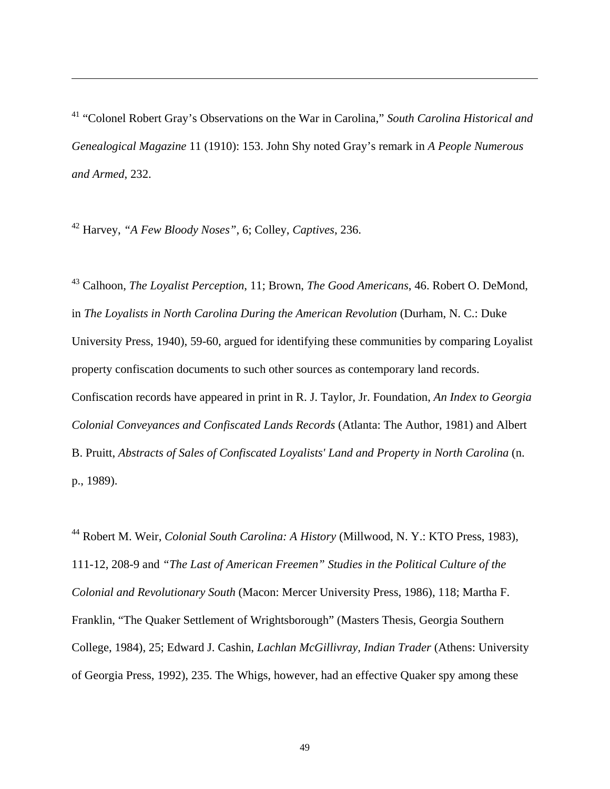41 "Colonel Robert Gray's Observations on the War in Carolina," *South Carolina Historical and Genealogical Magazine* 11 (1910): 153. John Shy noted Gray's remark in *A People Numerous and Armed*, 232.

42 Harvey, *"A Few Bloody Noses"*, 6; Colley, *Captives*, 236.

 $\overline{a}$ 

43 Calhoon, *The Loyalist Perception*, 11; Brown, *The Good Americans*, 46. Robert O. DeMond, in *The Loyalists in North Carolina During the American Revolution* (Durham, N. C.: Duke University Press, 1940), 59-60, argued for identifying these communities by comparing Loyalist property confiscation documents to such other sources as contemporary land records. Confiscation records have appeared in print in R. J. Taylor, Jr. Foundation, *An Index to Georgia Colonial Conveyances and Confiscated Lands Records* (Atlanta: The Author, 1981) and Albert B. Pruitt, *Abstracts of Sales of Confiscated Loyalists' Land and Property in North Carolina* (n. p., 1989).

44 Robert M. Weir, *Colonial South Carolina: A History* (Millwood, N. Y.: KTO Press, 1983), 111-12, 208-9 and *"The Last of American Freemen" Studies in the Political Culture of the Colonial and Revolutionary South* (Macon: Mercer University Press, 1986), 118; Martha F. Franklin, "The Quaker Settlement of Wrightsborough" (Masters Thesis, Georgia Southern College, 1984), 25; Edward J. Cashin, *Lachlan McGillivray, Indian Trader* (Athens: University of Georgia Press, 1992), 235. The Whigs, however, had an effective Quaker spy among these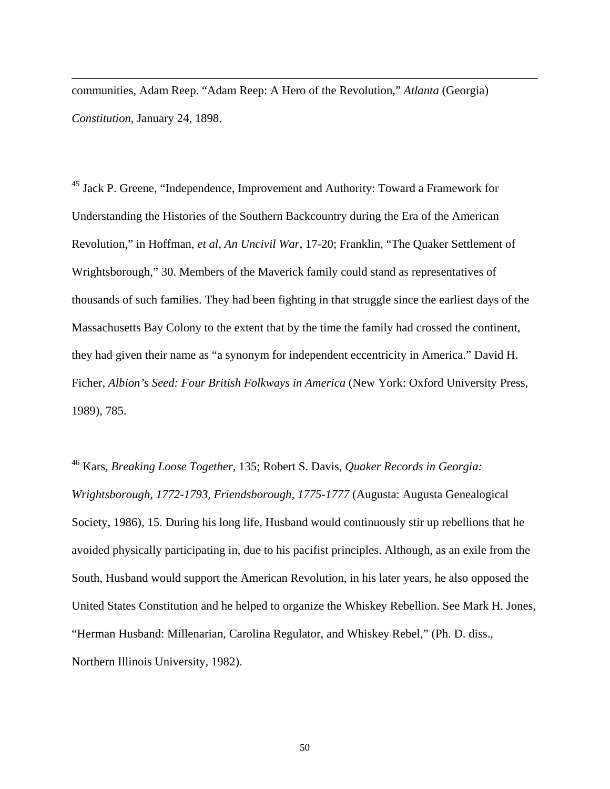communities, Adam Reep. "Adam Reep: A Hero of the Revolution," *Atlanta* (Georgia) *Constitution*, January 24, 1898.

 $\overline{a}$ 

45 Jack P. Greene, "Independence, Improvement and Authority: Toward a Framework for Understanding the Histories of the Southern Backcountry during the Era of the American Revolution," in Hoffman, *et al*, *An Uncivil War*, 17-20; Franklin, "The Quaker Settlement of Wrightsborough," 30. Members of the Maverick family could stand as representatives of thousands of such families. They had been fighting in that struggle since the earliest days of the Massachusetts Bay Colony to the extent that by the time the family had crossed the continent, they had given their name as "a synonym for independent eccentricity in America." David H. Ficher, *Albion's Seed: Four British Folkways in America* (New York: Oxford University Press, 1989), 785.

46 Kars, *Breaking Loose Together*, 135; Robert S. Davis, *Quaker Records in Georgia: Wrightsborough, 1772-1793, Friendsborough, 1775-1777* (Augusta: Augusta Genealogical Society, 1986), 15. During his long life, Husband would continuously stir up rebellions that he avoided physically participating in, due to his pacifist principles. Although, as an exile from the South, Husband would support the American Revolution, in his later years, he also opposed the United States Constitution and he helped to organize the Whiskey Rebellion. See Mark H. Jones, "Herman Husband: Millenarian, Carolina Regulator, and Whiskey Rebel," (Ph. D. diss., Northern Illinois University, 1982).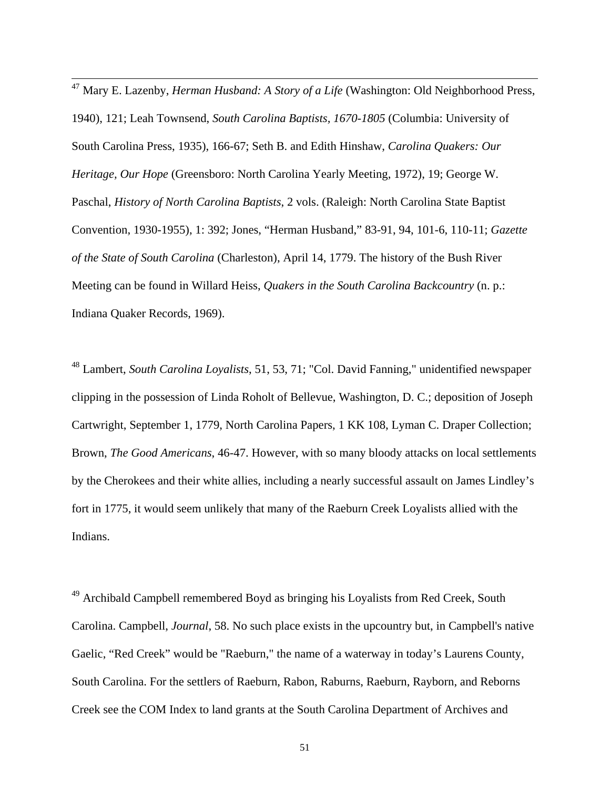47 Mary E. Lazenby, *Herman Husband: A Story of a Life* (Washington: Old Neighborhood Press, 1940), 121; Leah Townsend, *South Carolina Baptists, 1670-1805* (Columbia: University of South Carolina Press, 1935), 166-67; Seth B. and Edith Hinshaw, *Carolina Quakers: Our Heritage, Our Hope* (Greensboro: North Carolina Yearly Meeting, 1972), 19; George W. Paschal, *History of North Carolina Baptists*, 2 vols. (Raleigh: North Carolina State Baptist Convention, 1930-1955), 1: 392; Jones, "Herman Husband," 83-91, 94, 101-6, 110-11; *Gazette of the State of South Carolina* (Charleston), April 14, 1779. The history of the Bush River Meeting can be found in Willard Heiss, *Quakers in the South Carolina Backcountry* (n. p.: Indiana Quaker Records, 1969).

48 Lambert, *South Carolina Loyalists*, 51, 53, 71; "Col. David Fanning," unidentified newspaper clipping in the possession of Linda Roholt of Bellevue, Washington, D. C.; deposition of Joseph Cartwright, September 1, 1779, North Carolina Papers, 1 KK 108, Lyman C. Draper Collection; Brown, *The Good Americans*, 46-47. However, with so many bloody attacks on local settlements by the Cherokees and their white allies, including a nearly successful assault on James Lindley's fort in 1775, it would seem unlikely that many of the Raeburn Creek Loyalists allied with the Indians.

<sup>49</sup> Archibald Campbell remembered Boyd as bringing his Loyalists from Red Creek, South Carolina. Campbell, *Journal*, 58. No such place exists in the upcountry but, in Campbell's native Gaelic, "Red Creek" would be "Raeburn," the name of a waterway in today's Laurens County, South Carolina. For the settlers of Raeburn, Rabon, Raburns, Raeburn, Rayborn, and Reborns Creek see the COM Index to land grants at the South Carolina Department of Archives and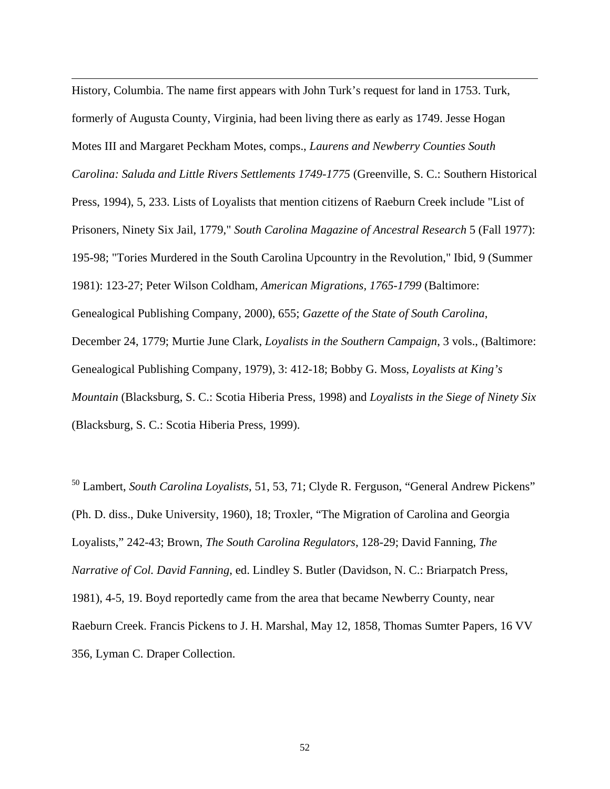History, Columbia. The name first appears with John Turk's request for land in 1753. Turk, formerly of Augusta County, Virginia, had been living there as early as 1749. Jesse Hogan Motes III and Margaret Peckham Motes, comps., *Laurens and Newberry Counties South Carolina: Saluda and Little Rivers Settlements 1749-1775* (Greenville, S. C.: Southern Historical Press, 1994), 5, 233. Lists of Loyalists that mention citizens of Raeburn Creek include "List of Prisoners, Ninety Six Jail, 1779," *South Carolina Magazine of Ancestral Research* 5 (Fall 1977): 195-98; "Tories Murdered in the South Carolina Upcountry in the Revolution," Ibid, 9 (Summer 1981): 123-27; Peter Wilson Coldham, *American Migrations, 1765-1799* (Baltimore: Genealogical Publishing Company, 2000), 655; *Gazette of the State of South Carolina*, December 24, 1779; Murtie June Clark, *Loyalists in the Southern Campaign*, 3 vols., (Baltimore: Genealogical Publishing Company, 1979), 3: 412-18; Bobby G. Moss, *Loyalists at King's Mountain* (Blacksburg, S. C.: Scotia Hiberia Press, 1998) and *Loyalists in the Siege of Ninety Six* (Blacksburg, S. C.: Scotia Hiberia Press, 1999).

 $\overline{a}$ 

50 Lambert, *South Carolina Loyalists*, 51, 53, 71; Clyde R. Ferguson, "General Andrew Pickens" (Ph. D. diss., Duke University, 1960), 18; Troxler, "The Migration of Carolina and Georgia Loyalists," 242-43; Brown, *The South Carolina Regulators*, 128-29; David Fanning, *The Narrative of Col. David Fanning*, ed. Lindley S. Butler (Davidson, N. C.: Briarpatch Press, 1981), 4-5, 19. Boyd reportedly came from the area that became Newberry County, near Raeburn Creek. Francis Pickens to J. H. Marshal, May 12, 1858, Thomas Sumter Papers, 16 VV 356, Lyman C. Draper Collection.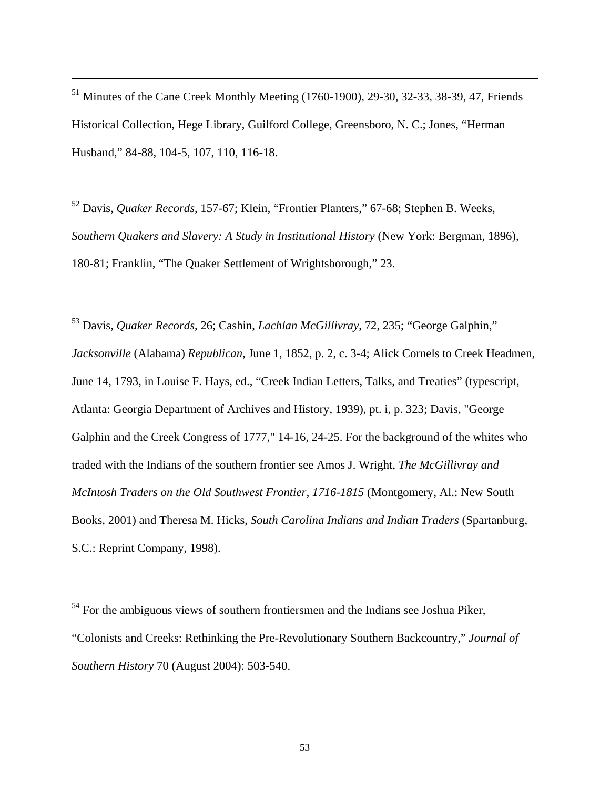<sup>51</sup> Minutes of the Cane Creek Monthly Meeting (1760-1900), 29-30, 32-33, 38-39, 47, Friends Historical Collection, Hege Library, Guilford College, Greensboro, N. C.; Jones, "Herman Husband," 84-88, 104-5, 107, 110, 116-18.

 $\overline{a}$ 

52 Davis, *Quaker Records*, 157-67; Klein, "Frontier Planters," 67-68; Stephen B. Weeks, *Southern Quakers and Slavery: A Study in Institutional History* (New York: Bergman, 1896), 180-81; Franklin, "The Quaker Settlement of Wrightsborough," 23.

53 Davis, *Quaker Records*, 26; Cashin, *Lachlan McGillivray*, 72, 235; "George Galphin," *Jacksonville* (Alabama) *Republican*, June 1, 1852, p. 2, c. 3-4; Alick Cornels to Creek Headmen, June 14, 1793, in Louise F. Hays, ed., "Creek Indian Letters, Talks, and Treaties" (typescript, Atlanta: Georgia Department of Archives and History, 1939), pt. i, p. 323; Davis, "George Galphin and the Creek Congress of 1777," 14-16, 24-25. For the background of the whites who traded with the Indians of the southern frontier see Amos J. Wright, *The McGillivray and McIntosh Traders on the Old Southwest Frontier, 1716-1815* (Montgomery, Al.: New South Books, 2001) and Theresa M. Hicks, *South Carolina Indians and Indian Traders* (Spartanburg, S.C.: Reprint Company, 1998).

<sup>54</sup> For the ambiguous views of southern frontiersmen and the Indians see Joshua Piker, "Colonists and Creeks: Rethinking the Pre-Revolutionary Southern Backcountry," *Journal of Southern History* 70 (August 2004): 503-540.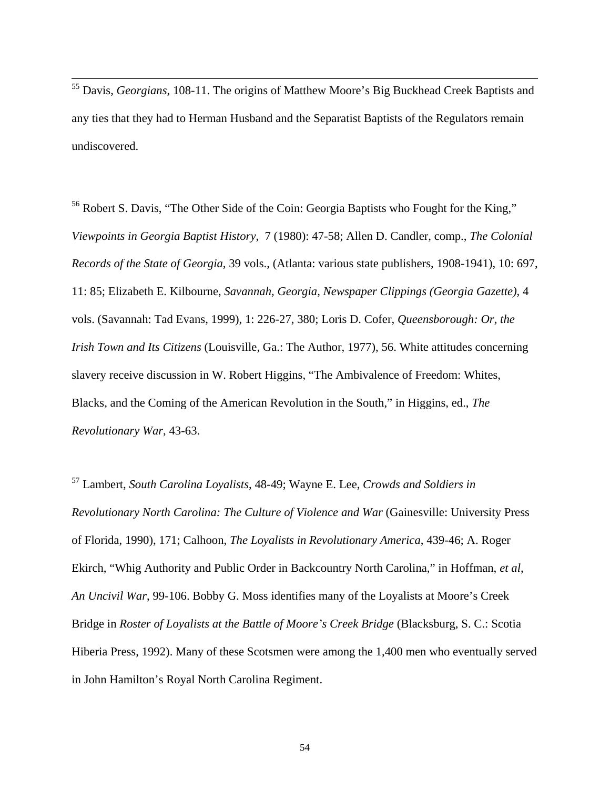55 Davis, *Georgians*, 108-11. The origins of Matthew Moore's Big Buckhead Creek Baptists and any ties that they had to Herman Husband and the Separatist Baptists of the Regulators remain undiscovered.

<sup>56</sup> Robert S. Davis, "The Other Side of the Coin: Georgia Baptists who Fought for the King," *Viewpoints in Georgia Baptist History*, 7 (1980): 47-58; Allen D. Candler, comp., *The Colonial Records of the State of Georgia*, 39 vols., (Atlanta: various state publishers, 1908-1941), 10: 697, 11: 85; Elizabeth E. Kilbourne, *Savannah, Georgia, Newspaper Clippings (Georgia Gazette)*, 4 vols. (Savannah: Tad Evans, 1999), 1: 226-27, 380; Loris D. Cofer, *Queensborough: Or, the Irish Town and Its Citizens* (Louisville, Ga.: The Author, 1977), 56. White attitudes concerning slavery receive discussion in W. Robert Higgins, "The Ambivalence of Freedom: Whites, Blacks, and the Coming of the American Revolution in the South," in Higgins, ed., *The Revolutionary War*, 43-63.

57 Lambert, *South Carolina Loyalists*, 48-49; Wayne E. Lee, *Crowds and Soldiers in Revolutionary North Carolina: The Culture of Violence and War* (Gainesville: University Press of Florida, 1990), 171; Calhoon, *The Loyalists in Revolutionary America*, 439-46; A. Roger Ekirch, "Whig Authority and Public Order in Backcountry North Carolina," in Hoffman, *et al*, *An Uncivil War*, 99-106. Bobby G. Moss identifies many of the Loyalists at Moore's Creek Bridge in *Roster of Loyalists at the Battle of Moore's Creek Bridge* (Blacksburg, S. C.: Scotia Hiberia Press, 1992). Many of these Scotsmen were among the 1,400 men who eventually served in John Hamilton's Royal North Carolina Regiment.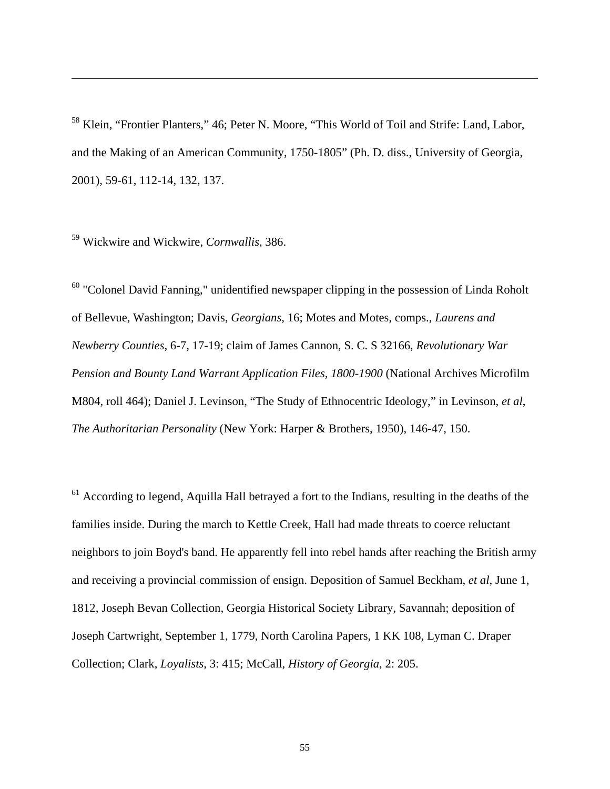<sup>58</sup> Klein, "Frontier Planters," 46; Peter N. Moore, "This World of Toil and Strife: Land, Labor, and the Making of an American Community, 1750-1805" (Ph. D. diss., University of Georgia, 2001), 59-61, 112-14, 132, 137.

59 Wickwire and Wickwire, *Cornwallis*, 386.

 $\overline{a}$ 

 $60$  "Colonel David Fanning," unidentified newspaper clipping in the possession of Linda Roholt of Bellevue, Washington; Davis, *Georgians*, 16; Motes and Motes, comps., *Laurens and Newberry Counties*, 6-7, 17-19; claim of James Cannon, S. C. S 32166, *Revolutionary War Pension and Bounty Land Warrant Application Files, 1800-1900* (National Archives Microfilm M804, roll 464); Daniel J. Levinson, "The Study of Ethnocentric Ideology," in Levinson, *et al*, *The Authoritarian Personality* (New York: Harper & Brothers, 1950), 146-47, 150.

 $61$  According to legend, Aquilla Hall betrayed a fort to the Indians, resulting in the deaths of the families inside. During the march to Kettle Creek, Hall had made threats to coerce reluctant neighbors to join Boyd's band. He apparently fell into rebel hands after reaching the British army and receiving a provincial commission of ensign. Deposition of Samuel Beckham, *et al*, June 1, 1812, Joseph Bevan Collection, Georgia Historical Society Library, Savannah; deposition of Joseph Cartwright, September 1, 1779, North Carolina Papers, 1 KK 108, Lyman C. Draper Collection; Clark, *Loyalists*, 3: 415; McCall, *History of Georgia*, 2: 205.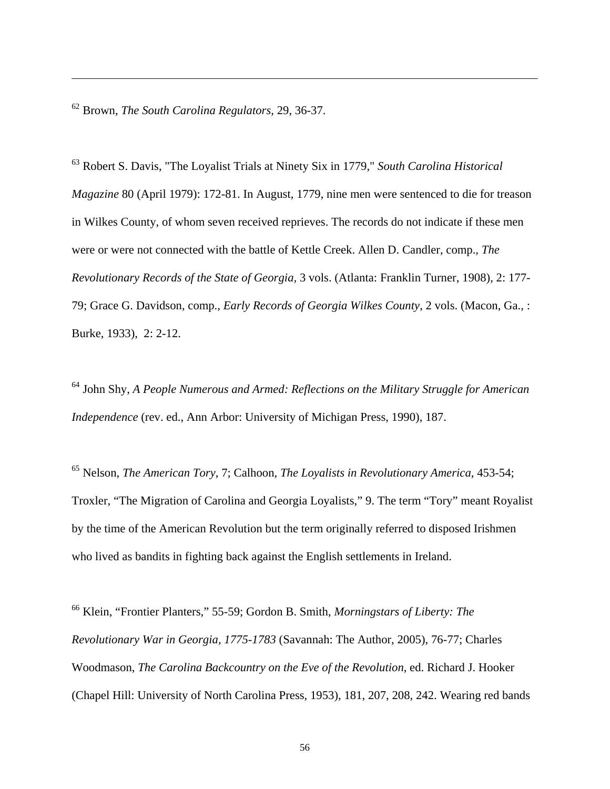62 Brown, *The South Carolina Regulators*, 29, 36-37.

 $\overline{a}$ 

63 Robert S. Davis, "The Loyalist Trials at Ninety Six in 1779," *South Carolina Historical Magazine* 80 (April 1979): 172-81. In August, 1779, nine men were sentenced to die for treason in Wilkes County, of whom seven received reprieves. The records do not indicate if these men were or were not connected with the battle of Kettle Creek. Allen D. Candler, comp., *The Revolutionary Records of the State of Georgia,* 3 vols. (Atlanta: Franklin Turner, 1908), 2: 177- 79; Grace G. Davidson, comp., *Early Records of Georgia Wilkes County*, 2 vols. (Macon, Ga., : Burke, 1933), 2: 2-12.

64 John Shy, *A People Numerous and Armed: Reflections on the Military Struggle for American Independence* (rev. ed., Ann Arbor: University of Michigan Press, 1990), 187.

65 Nelson, *The American Tory*, 7; Calhoon, *The Loyalists in Revolutionary America*, 453-54; Troxler, "The Migration of Carolina and Georgia Loyalists," 9. The term "Tory" meant Royalist by the time of the American Revolution but the term originally referred to disposed Irishmen who lived as bandits in fighting back against the English settlements in Ireland.

66 Klein, "Frontier Planters," 55-59; Gordon B. Smith, *Morningstars of Liberty: The Revolutionary War in Georgia, 1775-1783* (Savannah: The Author, 2005), 76-77; Charles Woodmason, *The Carolina Backcountry on the Eve of the Revolution*, ed. Richard J. Hooker (Chapel Hill: University of North Carolina Press, 1953), 181, 207, 208, 242. Wearing red bands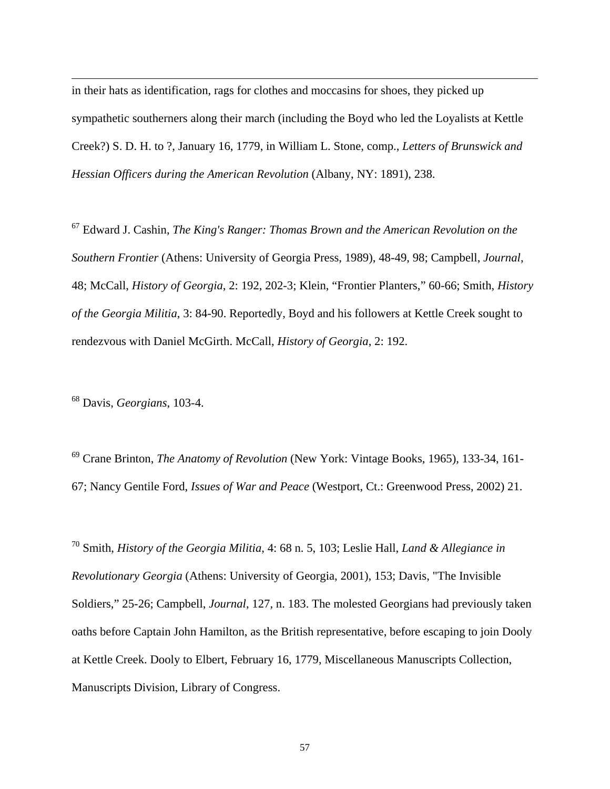in their hats as identification, rags for clothes and moccasins for shoes, they picked up sympathetic southerners along their march (including the Boyd who led the Loyalists at Kettle Creek?) S. D. H. to ?, January 16, 1779, in William L. Stone, comp., *Letters of Brunswick and Hessian Officers during the American Revolution* (Albany, NY: 1891), 238.

67 Edward J. Cashin, *The King's Ranger: Thomas Brown and the American Revolution on the Southern Frontier* (Athens: University of Georgia Press, 1989), 48-49, 98; Campbell, *Journal*, 48; McCall, *History of Georgia*, 2: 192, 202-3; Klein, "Frontier Planters," 60-66; Smith, *History of the Georgia Militia*, 3: 84-90. Reportedly, Boyd and his followers at Kettle Creek sought to rendezvous with Daniel McGirth. McCall, *History of Georgia*, 2: 192.

68 Davis, *Georgians*, 103-4.

 $\overline{a}$ 

69 Crane Brinton, *The Anatomy of Revolution* (New York: Vintage Books, 1965), 133-34, 161- 67; Nancy Gentile Ford, *Issues of War and Peace* (Westport, Ct.: Greenwood Press, 2002) 21.

70 Smith, *History of the Georgia Militia*, 4: 68 n. 5, 103; Leslie Hall, *Land & Allegiance in Revolutionary Georgia* (Athens: University of Georgia, 2001), 153; Davis, "The Invisible Soldiers," 25-26; Campbell, *Journal*, 127, n. 183. The molested Georgians had previously taken oaths before Captain John Hamilton, as the British representative, before escaping to join Dooly at Kettle Creek. Dooly to Elbert, February 16, 1779, Miscellaneous Manuscripts Collection, Manuscripts Division, Library of Congress.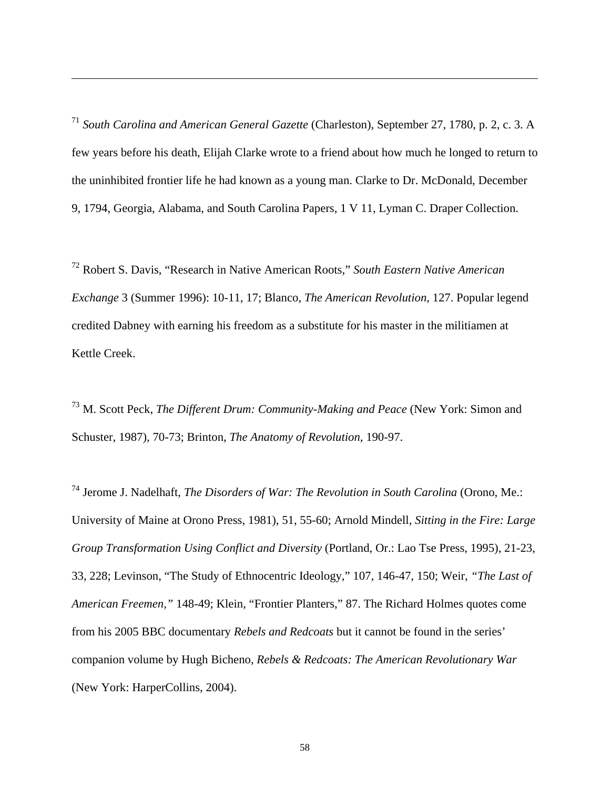<sup>71</sup> *South Carolina and American General Gazette* (Charleston), September 27, 1780, p. 2, c. 3. A few years before his death, Elijah Clarke wrote to a friend about how much he longed to return to the uninhibited frontier life he had known as a young man. Clarke to Dr. McDonald, December 9, 1794, Georgia, Alabama, and South Carolina Papers, 1 V 11, Lyman C. Draper Collection.

 $\overline{a}$ 

72 Robert S. Davis, "Research in Native American Roots," *South Eastern Native American Exchange* 3 (Summer 1996): 10-11, 17; Blanco, *The American Revolution*, 127. Popular legend credited Dabney with earning his freedom as a substitute for his master in the militiamen at Kettle Creek.

73 M. Scott Peck, *The Different Drum: Community-Making and Peace* (New York: Simon and Schuster, 1987), 70-73; Brinton, *The Anatomy of Revolution*, 190-97.

74 Jerome J. Nadelhaft, *The Disorders of War: The Revolution in South Carolina* (Orono, Me.: University of Maine at Orono Press, 1981), 51, 55-60; Arnold Mindell, *Sitting in the Fire: Large Group Transformation Using Conflict and Diversity* (Portland, Or.: Lao Tse Press, 1995), 21-23, 33, 228; Levinson, "The Study of Ethnocentric Ideology," 107, 146-47, 150; Weir, *"The Last of American Freemen,"* 148-49; Klein, "Frontier Planters," 87. The Richard Holmes quotes come from his 2005 BBC documentary *Rebels and Redcoats* but it cannot be found in the series' companion volume by Hugh Bicheno, *Rebels & Redcoats: The American Revolutionary War*  (New York: HarperCollins, 2004).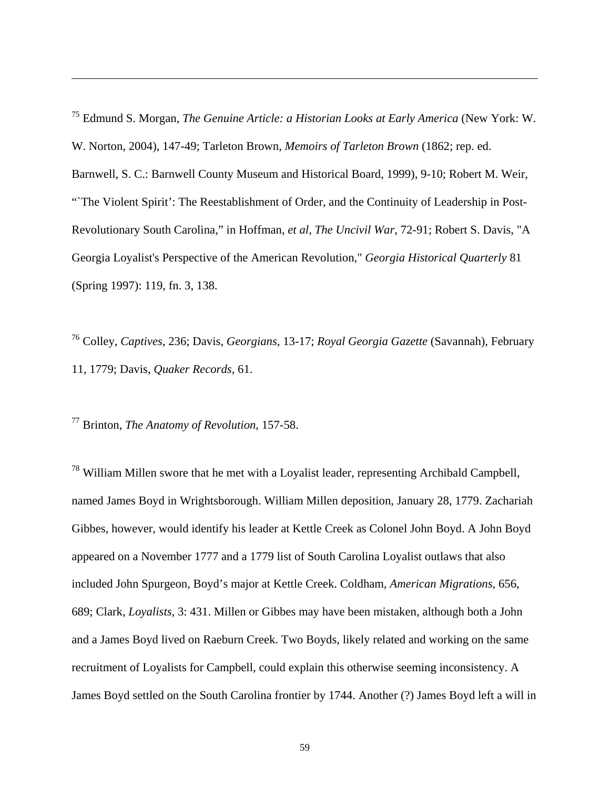75 Edmund S. Morgan, *The Genuine Article: a Historian Looks at Early America* (New York: W. W. Norton, 2004), 147-49; Tarleton Brown, *Memoirs of Tarleton Brown* (1862; rep. ed. Barnwell, S. C.: Barnwell County Museum and Historical Board, 1999), 9-10; Robert M. Weir, "The Violent Spirit': The Reestablishment of Order, and the Continuity of Leadership in Post-Revolutionary South Carolina," in Hoffman, *et al*, *The Uncivil War*, 72-91; Robert S. Davis, "A Georgia Loyalist's Perspective of the American Revolution," *Georgia Historical Quarterly* 81 (Spring 1997): 119, fn. 3, 138.

76 Colley, *Captives*, 236; Davis, *Georgians*, 13-17; *Royal Georgia Gazette* (Savannah), February 11, 1779; Davis, *Quaker Records*, 61.

77 Brinton, *The Anatomy of Revolution*, 157-58.

 $\overline{a}$ 

 $78$  William Millen swore that he met with a Loyalist leader, representing Archibald Campbell, named James Boyd in Wrightsborough. William Millen deposition, January 28, 1779. Zachariah Gibbes, however, would identify his leader at Kettle Creek as Colonel John Boyd. A John Boyd appeared on a November 1777 and a 1779 list of South Carolina Loyalist outlaws that also included John Spurgeon, Boyd's major at Kettle Creek. Coldham, *American Migrations*, 656, 689; Clark, *Loyalists*, 3: 431. Millen or Gibbes may have been mistaken, although both a John and a James Boyd lived on Raeburn Creek. Two Boyds, likely related and working on the same recruitment of Loyalists for Campbell, could explain this otherwise seeming inconsistency. A James Boyd settled on the South Carolina frontier by 1744. Another (?) James Boyd left a will in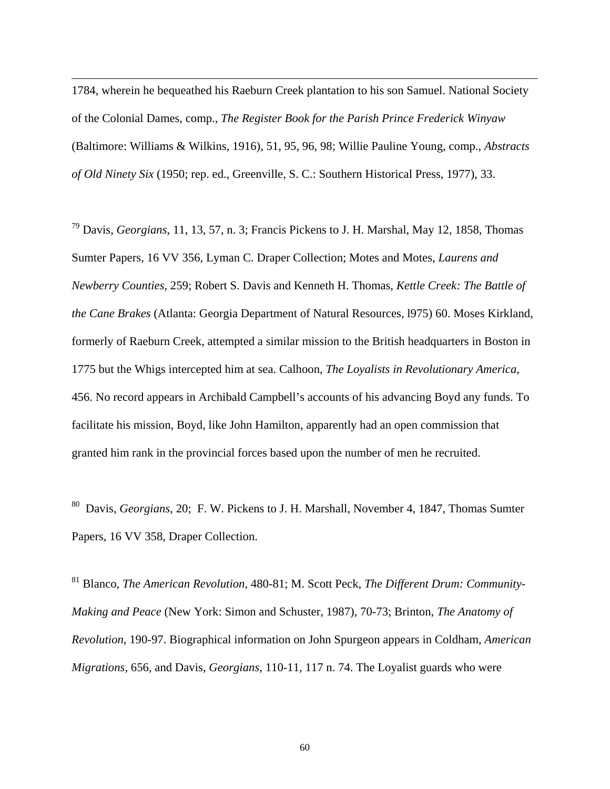1784, wherein he bequeathed his Raeburn Creek plantation to his son Samuel. National Society of the Colonial Dames, comp., *The Register Book for the Parish Prince Frederick Winyaw*  (Baltimore: Williams & Wilkins, 1916), 51, 95, 96, 98; Willie Pauline Young, comp., *Abstracts of Old Ninety Six* (1950; rep. ed., Greenville, S. C.: Southern Historical Press, 1977), 33.

 $\overline{a}$ 

79 Davis, *Georgians*, 11, 13, 57, n. 3; Francis Pickens to J. H. Marshal, May 12, 1858, Thomas Sumter Papers, 16 VV 356, Lyman C. Draper Collection; Motes and Motes, *Laurens and Newberry Counties*, 259; Robert S. Davis and Kenneth H. Thomas, *Kettle Creek: The Battle of the Cane Brakes* (Atlanta: Georgia Department of Natural Resources, l975) 60. Moses Kirkland, formerly of Raeburn Creek, attempted a similar mission to the British headquarters in Boston in 1775 but the Whigs intercepted him at sea. Calhoon, *The Loyalists in Revolutionary America*, 456. No record appears in Archibald Campbell's accounts of his advancing Boyd any funds. To facilitate his mission, Boyd, like John Hamilton, apparently had an open commission that granted him rank in the provincial forces based upon the number of men he recruited.

80 Davis, *Georgians*, 20; F. W. Pickens to J. H. Marshall, November 4, 1847, Thomas Sumter Papers, 16 VV 358, Draper Collection.

81 Blanco, *The American Revolution*, 480-81; M. Scott Peck, *The Different Drum: Community-Making and Peace* (New York: Simon and Schuster, 1987), 70-73; Brinton, *The Anatomy of Revolution*, 190-97. Biographical information on John Spurgeon appears in Coldham, *American Migrations*, 656, and Davis, *Georgians*, 110-11, 117 n. 74. The Loyalist guards who were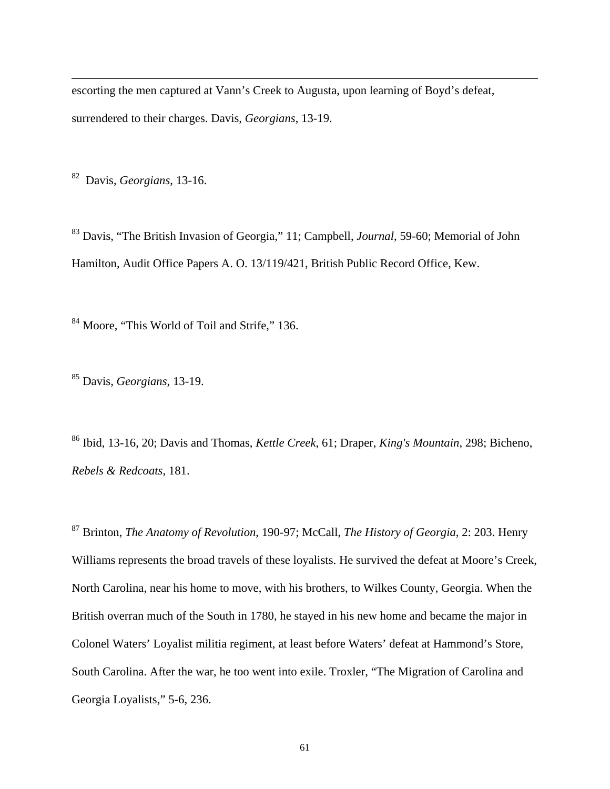escorting the men captured at Vann's Creek to Augusta, upon learning of Boyd's defeat, surrendered to their charges. Davis, *Georgians*, 13-19.

82 Davis, *Georgians*, 13-16.

 $\overline{a}$ 

83 Davis, "The British Invasion of Georgia," 11; Campbell, *Journal*, 59-60; Memorial of John Hamilton, Audit Office Papers A. O. 13/119/421, British Public Record Office, Kew.

84 Moore, "This World of Toil and Strife," 136.

85 Davis, *Georgians*, 13-19.

86 Ibid, 13-16, 20; Davis and Thomas, *Kettle Creek*, 61; Draper, *King's Mountain*, 298; Bicheno, *Rebels & Redcoats*, 181.

87 Brinton, *The Anatomy of Revolution*, 190-97; McCall, *The History of Georgia*, 2: 203. Henry Williams represents the broad travels of these loyalists. He survived the defeat at Moore's Creek, North Carolina, near his home to move, with his brothers, to Wilkes County, Georgia. When the British overran much of the South in 1780, he stayed in his new home and became the major in Colonel Waters' Loyalist militia regiment, at least before Waters' defeat at Hammond's Store, South Carolina. After the war, he too went into exile. Troxler, "The Migration of Carolina and Georgia Loyalists," 5-6, 236.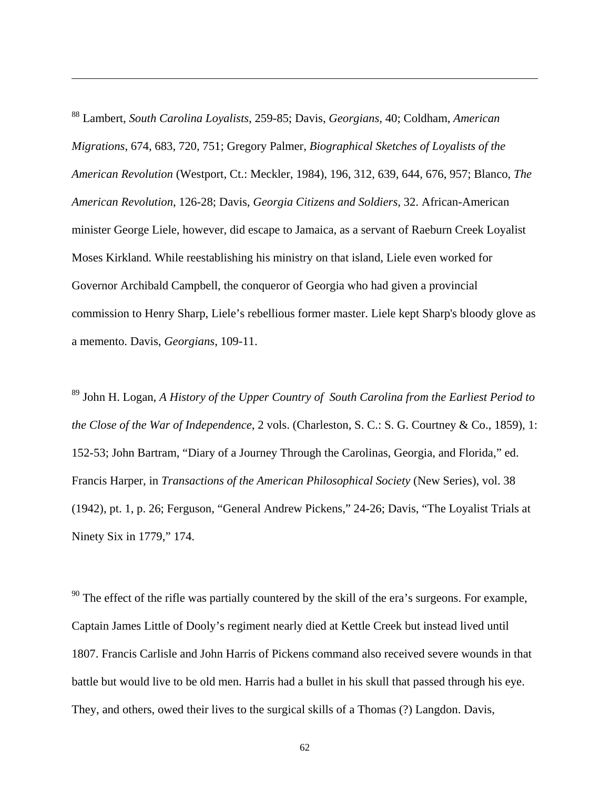88 Lambert, *South Carolina Loyalists*, 259-85; Davis, *Georgians*, 40; Coldham, *American Migrations*, 674, 683, 720, 751; Gregory Palmer, *Biographical Sketches of Loyalists of the American Revolution* (Westport, Ct.: Meckler, 1984), 196, 312, 639, 644, 676, 957; Blanco, *The American Revolution*, 126-28; Davis, *Georgia Citizens and Soldiers*, 32. African-American minister George Liele, however, did escape to Jamaica, as a servant of Raeburn Creek Loyalist Moses Kirkland. While reestablishing his ministry on that island, Liele even worked for Governor Archibald Campbell, the conqueror of Georgia who had given a provincial commission to Henry Sharp, Liele's rebellious former master. Liele kept Sharp's bloody glove as a memento. Davis, *Georgians*, 109-11.

 $\overline{a}$ 

89 John H. Logan, *A History of the Upper Country of South Carolina from the Earliest Period to the Close of the War of Independence*, 2 vols. (Charleston, S. C.: S. G. Courtney & Co., 1859), 1: 152-53; John Bartram, "Diary of a Journey Through the Carolinas, Georgia, and Florida," ed. Francis Harper, in *Transactions of the American Philosophical Society* (New Series), vol. 38 (1942), pt. 1, p. 26; Ferguson, "General Andrew Pickens," 24-26; Davis, "The Loyalist Trials at Ninety Six in 1779," 174.

 $90$  The effect of the rifle was partially countered by the skill of the era's surgeons. For example, Captain James Little of Dooly's regiment nearly died at Kettle Creek but instead lived until 1807. Francis Carlisle and John Harris of Pickens command also received severe wounds in that battle but would live to be old men. Harris had a bullet in his skull that passed through his eye. They, and others, owed their lives to the surgical skills of a Thomas (?) Langdon. Davis,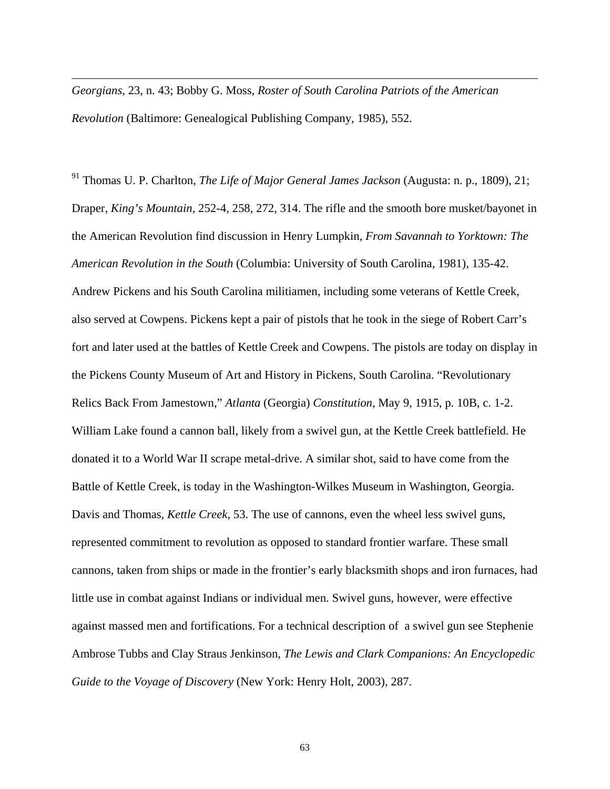*Georgians*, 23, n. 43; Bobby G. Moss, *Roster of South Carolina Patriots of the American Revolution* (Baltimore: Genealogical Publishing Company, 1985), 552.

 $\overline{a}$ 

91 Thomas U. P. Charlton, *The Life of Major General James Jackson* (Augusta: n. p., 1809), 21; Draper, *King's Mountain*, 252-4, 258, 272, 314. The rifle and the smooth bore musket/bayonet in the American Revolution find discussion in Henry Lumpkin, *From Savannah to Yorktown: The American Revolution in the South* (Columbia: University of South Carolina, 1981), 135-42. Andrew Pickens and his South Carolina militiamen, including some veterans of Kettle Creek, also served at Cowpens. Pickens kept a pair of pistols that he took in the siege of Robert Carr's fort and later used at the battles of Kettle Creek and Cowpens. The pistols are today on display in the Pickens County Museum of Art and History in Pickens, South Carolina. "Revolutionary Relics Back From Jamestown," *Atlanta* (Georgia) *Constitution*, May 9, 1915, p. 10B, c. 1-2. William Lake found a cannon ball, likely from a swivel gun, at the Kettle Creek battlefield. He donated it to a World War II scrape metal-drive. A similar shot, said to have come from the Battle of Kettle Creek, is today in the Washington-Wilkes Museum in Washington, Georgia. Davis and Thomas, *Kettle Creek*, 53. The use of cannons, even the wheel less swivel guns, represented commitment to revolution as opposed to standard frontier warfare. These small cannons, taken from ships or made in the frontier's early blacksmith shops and iron furnaces, had little use in combat against Indians or individual men. Swivel guns, however, were effective against massed men and fortifications. For a technical description of a swivel gun see Stephenie Ambrose Tubbs and Clay Straus Jenkinson, *The Lewis and Clark Companions: An Encyclopedic Guide to the Voyage of Discovery* (New York: Henry Holt, 2003), 287.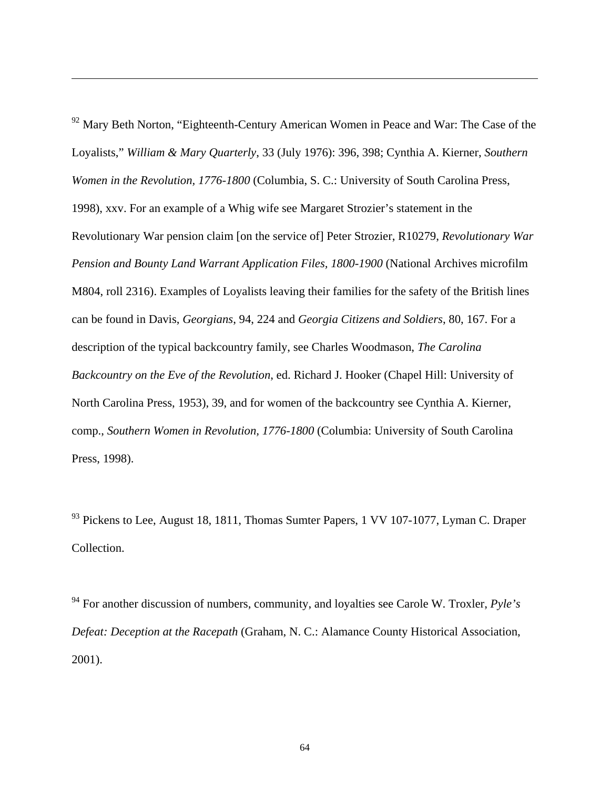<sup>92</sup> Mary Beth Norton, "Eighteenth-Century American Women in Peace and War: The Case of the Loyalists," *William & Mary Quarterly*, 33 (July 1976): 396, 398; Cynthia A. Kierner, *Southern Women in the Revolution, 1776-1800* (Columbia, S. C.: University of South Carolina Press, 1998), xxv. For an example of a Whig wife see Margaret Strozier's statement in the Revolutionary War pension claim [on the service of] Peter Strozier, R10279, *Revolutionary War Pension and Bounty Land Warrant Application Files, 1800-1900* (National Archives microfilm M804, roll 2316). Examples of Loyalists leaving their families for the safety of the British lines can be found in Davis, *Georgians*, 94, 224 and *Georgia Citizens and Soldiers*, 80, 167. For a description of the typical backcountry family, see Charles Woodmason, *The Carolina Backcountry on the Eve of the Revolution*, ed. Richard J. Hooker (Chapel Hill: University of North Carolina Press, 1953), 39, and for women of the backcountry see Cynthia A. Kierner, comp., *Southern Women in Revolution, 1776-1800* (Columbia: University of South Carolina Press, 1998).

 $\overline{a}$ 

<sup>93</sup> Pickens to Lee, August 18, 1811, Thomas Sumter Papers, 1 VV 107-1077, Lyman C. Draper Collection.

94 For another discussion of numbers, community, and loyalties see Carole W. Troxler, *Pyle's Defeat: Deception at the Racepath* (Graham, N. C.: Alamance County Historical Association, 2001).